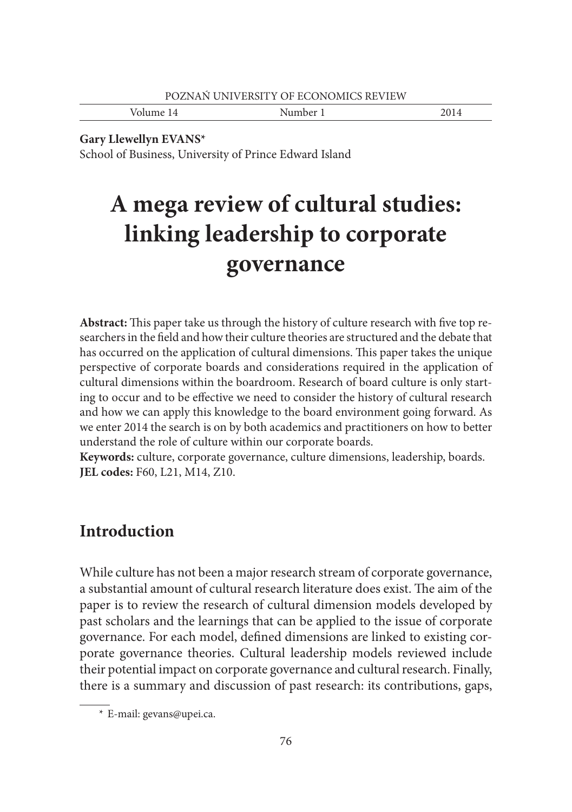| POZNAŃ UNIVERSITY OF ECONOMICS REVIEW |          |      |
|---------------------------------------|----------|------|
| Volume 14                             | Number 1 | 2014 |

**Gary Llewellyn EVANS\***

School of Business, University of Prince Edward Island

# **A mega review of cultural studies: linking leadership to corporate governance**

Abstract: This paper take us through the history of culture research with five top researchers in the field and how their culture theories are structured and the debate that has occurred on the application of cultural dimensions. This paper takes the unique perspective of corporate boards and considerations required in the application of cultural dimensions within the boardroom. Research of board culture is only starting to occur and to be effective we need to consider the history of cultural research and how we can apply this knowledge to the board environment going forward. As we enter 2014 the search is on by both academics and practitioners on how to better understand the role of culture within our corporate boards.

**Keywords:** culture, corporate governance, culture dimensions, leadership, boards. **JEL codes:** F60, L21, M14, Z10.

# **Introduction**

While culture has not been a major research stream of corporate governance, a substantial amount of cultural research literature does exist. The aim of the paper is to review the research of cultural dimension models developed by past scholars and the learnings that can be applied to the issue of corporate governance. For each model, defined dimensions are linked to existing corporate governance theories. Cultural leadership models reviewed include their potential impact on corporate governance and cultural research. Finally, there is a summary and discussion of past research: its contributions, gaps,

 <sup>\*</sup> E-mail: gevans@upei.ca.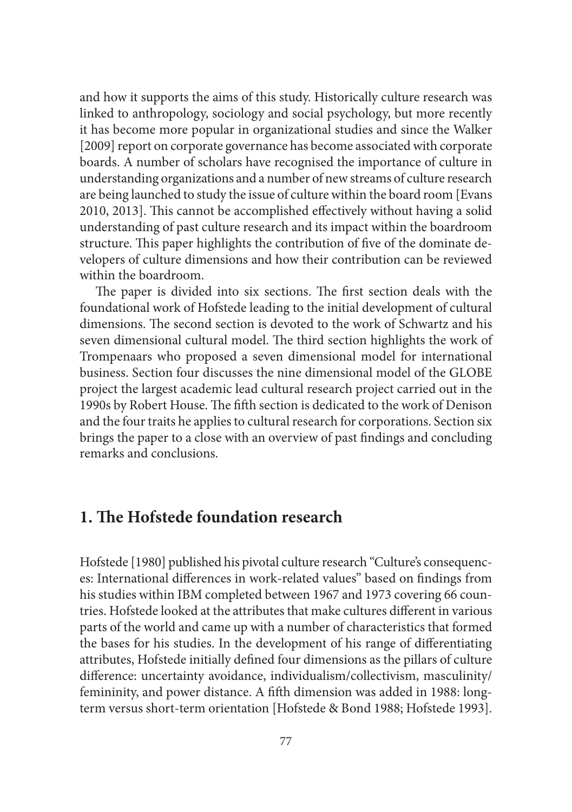and how it supports the aims of this study. Historically culture research was linked to anthropology, sociology and social psychology, but more recently it has become more popular in organizational studies and since the Walker [2009] report on corporate governance has become associated with corporate boards. A number of scholars have recognised the importance of culture in understanding organizations and a number of new streams of culture research are being launched to study the issue of culture within the board room [Evans 2010, 2013]. This cannot be accomplished effectively without having a solid understanding of past culture research and its impact within the boardroom structure. This paper highlights the contribution of five of the dominate developers of culture dimensions and how their contribution can be reviewed within the boardroom.

The paper is divided into six sections. The first section deals with the foundational work of Hofstede leading to the initial development of cultural dimensions. The second section is devoted to the work of Schwartz and his seven dimensional cultural model. The third section highlights the work of Trompenaars who proposed a seven dimensional model for international business. Section four discusses the nine dimensional model of the GLOBE project the largest academic lead cultural research project carried out in the 1990s by Robert House. The fifth section is dedicated to the work of Denison and the four traits he applies to cultural research for corporations. Section six brings the paper to a close with an overview of past findings and concluding remarks and conclusions.

# **1. The Hofstede foundation research**

Hofstede [1980] published his pivotal culture research "Culture's consequences: International differences in work-related values" based on findings from his studies within IBM completed between 1967 and 1973 covering 66 countries. Hofstede looked at the attributes that make cultures different in various parts of the world and came up with a number of characteristics that formed the bases for his studies. In the development of his range of differentiating attributes, Hofstede initially defined four dimensions as the pillars of culture difference: uncertainty avoidance, individualism/collectivism, masculinity/ femininity, and power distance. A fifth dimension was added in 1988: longterm versus short-term orientation [Hofstede & Bond 1988; Hofstede 1993].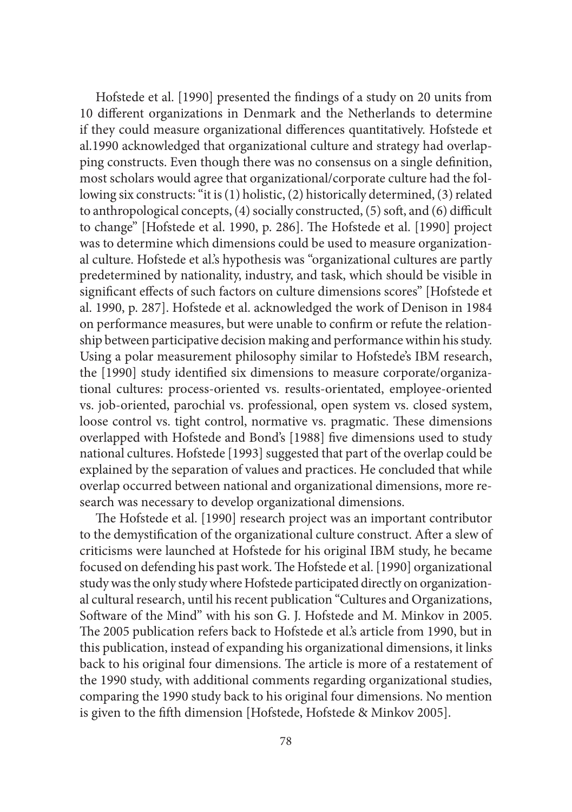Hofstede et al. [1990] presented the findings of a study on 20 units from 10 different organizations in Denmark and the Netherlands to determine if they could measure organizational differences quantitatively. Hofstede et al.1990 acknowledged that organizational culture and strategy had overlapping constructs. Even though there was no consensus on a single definition, most scholars would agree that organizational/corporate culture had the following six constructs: "it is (1) holistic, (2) historically determined, (3) related to anthropological concepts,  $(4)$  socially constructed,  $(5)$  soft, and  $(6)$  difficult to change" [Hofstede et al. 1990, p. 286]. The Hofstede et al. [1990] project was to determine which dimensions could be used to measure organizational culture. Hofstede et al.'s hypothesis was "organizational cultures are partly predetermined by nationality, industry, and task, which should be visible in significant effects of such factors on culture dimensions scores" [Hofstede et al. 1990, p. 287]. Hofstede et al. acknowledged the work of Denison in 1984 on performance measures, but were unable to confirm or refute the relationship between participative decision making and performance within his study. Using a polar measurement philosophy similar to Hofstede's IBM research, the [1990] study identified six dimensions to measure corporate/organizational cultures: process-oriented vs. results-orientated, employee-oriented vs. job-oriented, parochial vs. professional, open system vs. closed system, loose control vs. tight control, normative vs. pragmatic. These dimensions overlapped with Hofstede and Bond's [1988] five dimensions used to study national cultures. Hofstede [1993] suggested that part of the overlap could be explained by the separation of values and practices. He concluded that while overlap occurred between national and organizational dimensions, more research was necessary to develop organizational dimensions.

The Hofstede et al. [1990] research project was an important contributor to the demystification of the organizational culture construct. After a slew of criticisms were launched at Hofstede for his original IBM study, he became focused on defending his past work. The Hofstede et al. [1990] organizational study was the only study where Hofstede participated directly on organizational cultural research, until his recent publication "Cultures and Organizations, Software of the Mind" with his son G. J. Hofstede and M. Minkov in 2005. The 2005 publication refers back to Hofstede et al's article from 1990, but in this publication, instead of expanding his organizational dimensions, it links back to his original four dimensions. The article is more of a restatement of the 1990 study, with additional comments regarding organizational studies, comparing the 1990 study back to his original four dimensions. No mention is given to the fifth dimension [Hofstede, Hofstede & Minkov 2005].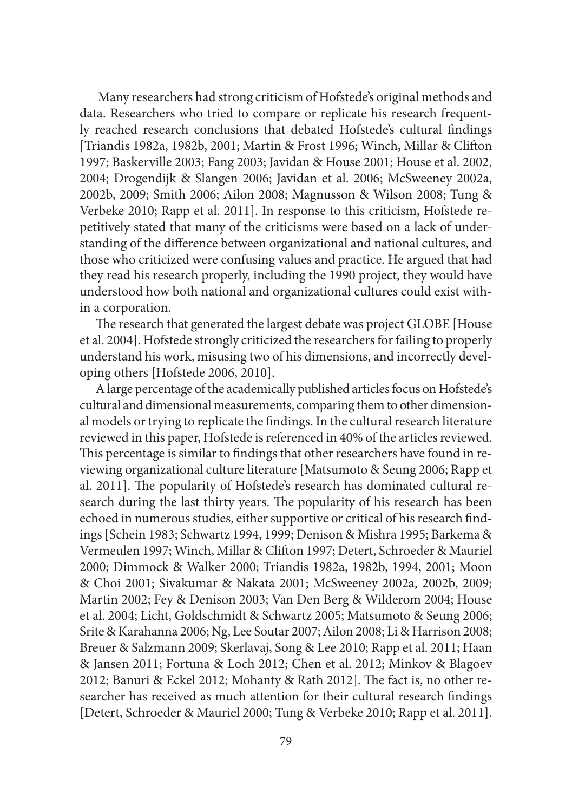Many researchers had strong criticism of Hofstede's original methods and data. Researchers who tried to compare or replicate his research frequently reached research conclusions that debated Hofstede's cultural findings [Triandis 1982a, 1982b, 2001; Martin & Frost 1996; Winch, Millar & Clifton 1997; Baskerville 2003; Fang 2003; Javidan & House 2001; House et al. 2002, 2004; Drogendijk & Slangen 2006; Javidan et al. 2006; McSweeney 2002a, 2002b, 2009; Smith 2006; Ailon 2008; Magnusson & Wilson 2008; Tung & Verbeke 2010; Rapp et al. 2011]. In response to this criticism, Hofstede repetitively stated that many of the criticisms were based on a lack of understanding of the difference between organizational and national cultures, and those who criticized were confusing values and practice. He argued that had they read his research properly, including the 1990 project, they would have understood how both national and organizational cultures could exist within a corporation.

The research that generated the largest debate was project GLOBE [House et al. 2004]. Hofstede strongly criticized the researchers for failing to properly understand his work, misusing two of his dimensions, and incorrectly developing others [Hofstede 2006, 2010].

A large percentage of the academically published articles focus on Hofstede's cultural and dimensional measurements, comparing them to other dimensional models or trying to replicate the findings. In the cultural research literature reviewed in this paper, Hofstede is referenced in 40% of the articles reviewed. This percentage is similar to findings that other researchers have found in reviewing organizational culture literature [Matsumoto & Seung 2006; Rapp et al. 2011]. The popularity of Hofstede's research has dominated cultural research during the last thirty years. The popularity of his research has been echoed in numerous studies, either supportive or critical of his research findings [Schein 1983; Schwartz 1994, 1999; Denison & Mishra 1995; Barkema & Vermeulen 1997; Winch, Millar & Clifton 1997; Detert, Schroeder & Mauriel 2000; Dimmock & Walker 2000; Triandis 1982a, 1982b, 1994, 2001; Moon & Choi 2001; Sivakumar & Nakata 2001; McSweeney 2002a, 2002b, 2009; Martin 2002; Fey & Denison 2003; Van Den Berg & Wilderom 2004; House et al. 2004; Licht, Goldschmidt & Schwartz 2005; Matsumoto & Seung 2006; Srite & Karahanna 2006; Ng, Lee Soutar 2007; Ailon 2008; Li & Harrison 2008; Breuer & Salzmann 2009; Skerlavaj, Song & Lee 2010; Rapp et al. 2011; Haan & Jansen 2011; Fortuna & Loch 2012; Chen et al. 2012; Minkov & Blagoev 2012; Banuri & Eckel 2012; Mohanty & Rath 2012]. The fact is, no other researcher has received as much attention for their cultural research findings [Detert, Schroeder & Mauriel 2000; Tung & Verbeke 2010; Rapp et al. 2011].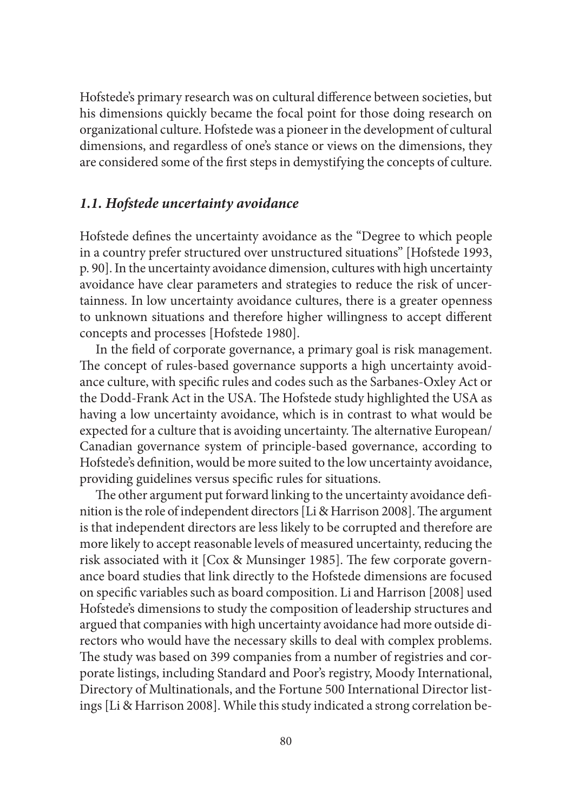Hofstede's primary research was on cultural difference between societies, but his dimensions quickly became the focal point for those doing research on organizational culture. Hofstede was a pioneer in the development of cultural dimensions, and regardless of one's stance or views on the dimensions, they are considered some of the first steps in demystifying the concepts of culture.

#### *1.1. Hofstede uncertainty avoidance*

Hofstede defines the uncertainty avoidance as the "Degree to which people in a country prefer structured over unstructured situations" [Hofstede 1993, p. 90]. In the uncertainty avoidance dimension, cultures with high uncertainty avoidance have clear parameters and strategies to reduce the risk of uncertainness. In low uncertainty avoidance cultures, there is a greater openness to unknown situations and therefore higher willingness to accept different concepts and processes [Hofstede 1980].

In the field of corporate governance, a primary goal is risk management. The concept of rules-based governance supports a high uncertainty avoidance culture, with specific rules and codes such as the Sarbanes-Oxley Act or the Dodd-Frank Act in the USA. The Hofstede study highlighted the USA as having a low uncertainty avoidance, which is in contrast to what would be expected for a culture that is avoiding uncertainty. The alternative European/ Canadian governance system of principle-based governance, according to Hofstede's definition, would be more suited to the low uncertainty avoidance, providing guidelines versus specific rules for situations.

The other argument put forward linking to the uncertainty avoidance definition is the role of independent directors [Li & Harrison 2008]. The argument is that independent directors are less likely to be corrupted and therefore are more likely to accept reasonable levels of measured uncertainty, reducing the risk associated with it [Cox & Munsinger 1985]. The few corporate governance board studies that link directly to the Hofstede dimensions are focused on specific variables such as board composition. Li and Harrison [2008] used Hofstede's dimensions to study the composition of leadership structures and argued that companies with high uncertainty avoidance had more outside directors who would have the necessary skills to deal with complex problems. The study was based on 399 companies from a number of registries and corporate listings, including Standard and Poor's registry, Moody International, Directory of Multinationals, and the Fortune 500 International Director listings [Li & Harrison 2008]. While this study indicated a strong correlation be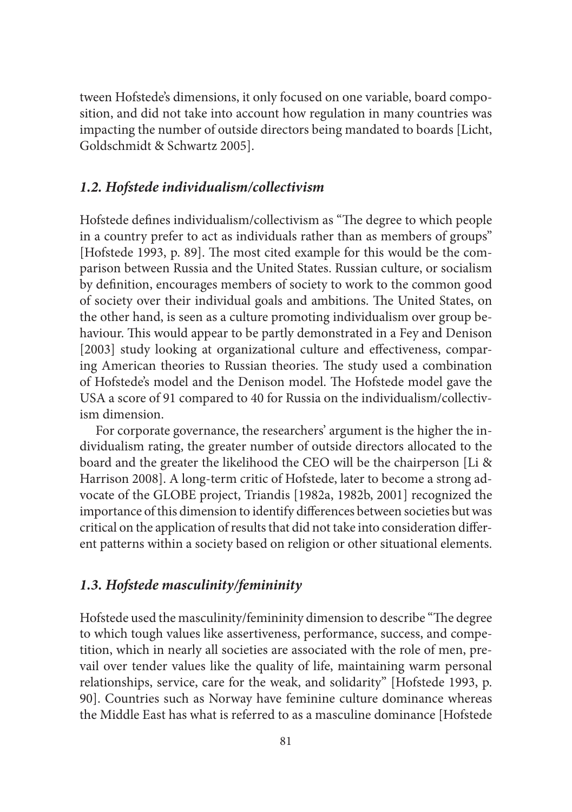tween Hofstede's dimensions, it only focused on one variable, board composition, and did not take into account how regulation in many countries was impacting the number of outside directors being mandated to boards [Licht, Goldschmidt & Schwartz 2005].

## *1.2. Hofstede individualism/collectivism*

Hofstede defines individualism/collectivism as "The degree to which people in a country prefer to act as individuals rather than as members of groups" [Hofstede 1993, p. 89]. The most cited example for this would be the comparison between Russia and the United States. Russian culture, or socialism by defi nition, encourages members of society to work to the common good of society over their individual goals and ambitions. The United States, on the other hand, is seen as a culture promoting individualism over group behaviour. This would appear to be partly demonstrated in a Fey and Denison [2003] study looking at organizational culture and effectiveness, comparing American theories to Russian theories. The study used a combination of Hofstede's model and the Denison model. The Hofstede model gave the USA a score of 91 compared to 40 for Russia on the individualism/collectivism dimension.

For corporate governance, the researchers' argument is the higher the individualism rating, the greater number of outside directors allocated to the board and the greater the likelihood the CEO will be the chairperson [Li & Harrison 2008]. A long-term critic of Hofstede, later to become a strong advocate of the GLOBE project, Triandis [1982a, 1982b, 2001] recognized the importance of this dimension to identify differences between societies but was critical on the application of results that did not take into consideration different patterns within a society based on religion or other situational elements.

#### *1.3. Hofstede masculinity/femininity*

Hofstede used the masculinity/femininity dimension to describe "The degree to which tough values like assertiveness, performance, success, and competition, which in nearly all societies are associated with the role of men, prevail over tender values like the quality of life, maintaining warm personal relationships, service, care for the weak, and solidarity" [Hofstede 1993, p. 90]. Countries such as Norway have feminine culture dominance whereas the Middle East has what is referred to as a masculine dominance [Hofstede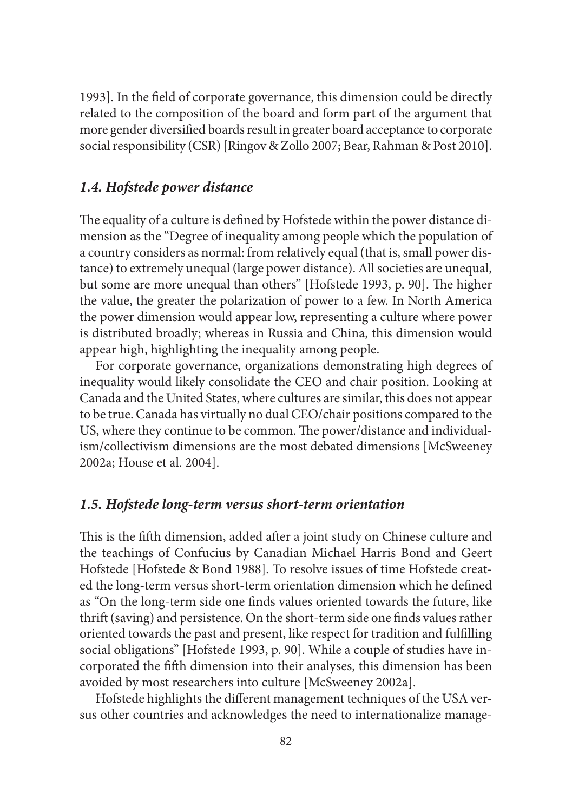1993]. In the field of corporate governance, this dimension could be directly related to the composition of the board and form part of the argument that more gender diversified boards result in greater board acceptance to corporate social responsibility (CSR) [Ringov & Zollo 2007; Bear, Rahman & Post 2010].

## *1.4. Hofstede power distance*

The equality of a culture is defined by Hofstede within the power distance dimension as the "Degree of inequality among people which the population of a country considers as normal: from relatively equal (that is, small power distance) to extremely unequal (large power distance). All societies are unequal, but some are more unequal than others" [Hofstede 1993, p. 90]. The higher the value, the greater the polarization of power to a few. In North America the power dimension would appear low, representing a culture where power is distributed broadly; whereas in Russia and China, this dimension would appear high, highlighting the inequality among people.

For corporate governance, organizations demonstrating high degrees of inequality would likely consolidate the CEO and chair position. Looking at Canada and the United States, where cultures are similar, this does not appear to be true. Canada has virtually no dual CEO/chair positions compared to the US, where they continue to be common. The power/distance and individualism/collectivism dimensions are the most debated dimensions [McSweeney 2002a; House et al. 2004].

#### *1.5. Hofstede long-term versus short-term orientation*

This is the fifth dimension, added after a joint study on Chinese culture and the teachings of Confucius by Canadian Michael Harris Bond and Geert Hofstede [Hofstede & Bond 1988]. To resolve issues of time Hofstede created the long-term versus short-term orientation dimension which he defined as "On the long-term side one finds values oriented towards the future, like thrift (saving) and persistence. On the short-term side one finds values rather oriented towards the past and present, like respect for tradition and fulfilling social obligations" [Hofstede 1993, p. 90]. While a couple of studies have incorporated the fifth dimension into their analyses, this dimension has been avoided by most researchers into culture [McSweeney 2002a].

Hofstede highlights the different management techniques of the USA versus other countries and acknowledges the need to internationalize manage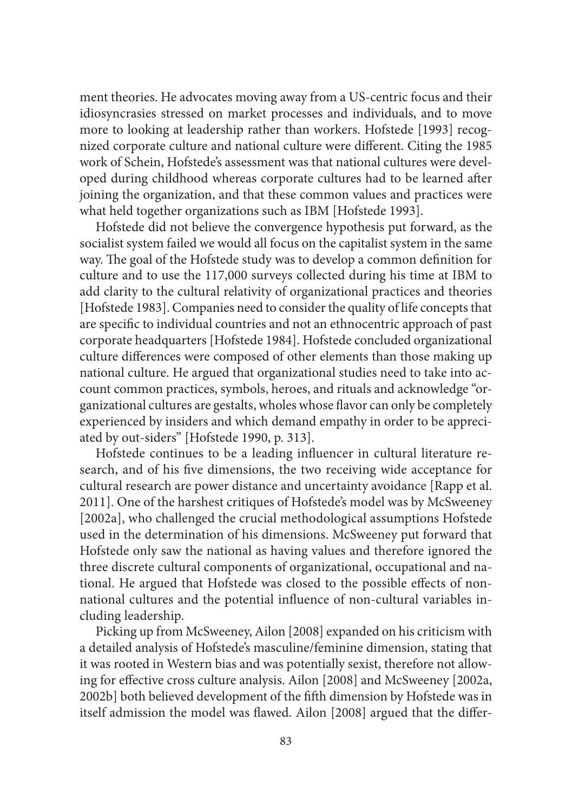ment theories. He advocates moving away from a US-centric focus and their idiosyncrasies stressed on market processes and individuals, and to move more to looking at leadership rather than workers. Hofstede [1993] recognized corporate culture and national culture were different. Citing the 1985 work of Schein, Hofstede's assessment was that national cultures were developed during childhood whereas corporate cultures had to be learned after joining the organization, and that these common values and practices were what held together organizations such as IBM [Hofstede 1993].

Hofstede did not believe the convergence hypothesis put forward, as the socialist system failed we would all focus on the capitalist system in the same way. The goal of the Hofstede study was to develop a common definition for culture and to use the 117,000 surveys collected during his time at IBM to add clarity to the cultural relativity of organizational practices and theories [Hofstede 1983]. Companies need to consider the quality of life concepts that are specific to individual countries and not an ethnocentric approach of past corporate headquarters [Hofstede 1984]. Hofstede concluded organizational culture differences were composed of other elements than those making up national culture. He argued that organizational studies need to take into account common practices, symbols, heroes, and rituals and acknowledge "organizational cultures are gestalts, wholes whose flavor can only be completely experienced by insiders and which demand empathy in order to be appreciated by out-siders" [Hofstede 1990, p. 313].

Hofstede continues to be a leading influencer in cultural literature research, and of his five dimensions, the two receiving wide acceptance for cultural research are power distance and uncertainty avoidance [Rapp et al. 2011]. One of the harshest critiques of Hofstede's model was by McSweeney [2002a], who challenged the crucial methodological assumptions Hofstede used in the determination of his dimensions. McSweeney put forward that Hofstede only saw the national as having values and therefore ignored the three discrete cultural components of organizational, occupational and national. He argued that Hofstede was closed to the possible effects of nonnational cultures and the potential influence of non-cultural variables including leadership.

Picking up from McSweeney, Ailon [2008] expanded on his criticism with a detailed analysis of Hofstede's masculine/feminine dimension, stating that it was rooted in Western bias and was potentially sexist, therefore not allowing for effective cross culture analysis. Ailon [2008] and McSweeney [2002a, 2002b] both believed development of the fifth dimension by Hofstede was in itself admission the model was flawed. Ailon [2008] argued that the differ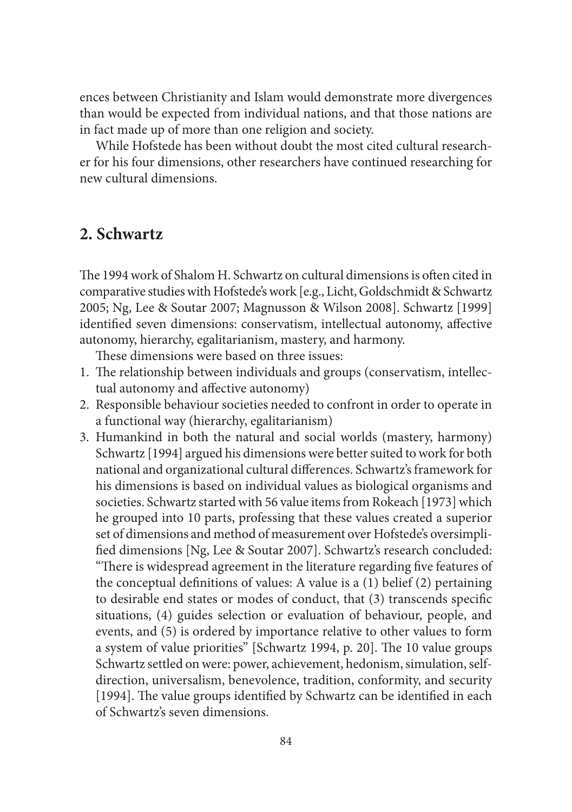ences between Christianity and Islam would demonstrate more divergences than would be expected from individual nations, and that those nations are in fact made up of more than one religion and society.

While Hofstede has been without doubt the most cited cultural researcher for his four dimensions, other researchers have continued researching for new cultural dimensions.

# **2. Schwartz**

The 1994 work of Shalom H. Schwartz on cultural dimensions is often cited in comparative studies with Hofstede's work [e.g., Licht, Goldschmidt & Schwartz 2005; Ng, Lee & Soutar 2007; Magnusson & Wilson 2008]. Schwartz [1999] identified seven dimensions: conservatism, intellectual autonomy, affective autonomy, hierarchy, egalitarianism, mastery, and harmony.

These dimensions were based on three issues:

- 1. The relationship between individuals and groups (conservatism, intellectual autonomy and affective autonomy)
- 2. Responsible behaviour societies needed to confront in order to operate in a functional way (hierarchy, egalitarianism)
- 3. Humankind in both the natural and social worlds (mastery, harmony) Schwartz [1994] argued his dimensions were better suited to work for both national and organizational cultural differences. Schwartz's framework for his dimensions is based on individual values as biological organisms and societies. Schwartz started with 56 value items from Rokeach [1973] which he grouped into 10 parts, professing that these values created a superior set of dimensions and method of measurement over Hofstede's oversimplified dimensions [Ng, Lee & Soutar 2007]. Schwartz's research concluded: "There is widespread agreement in the literature regarding five features of the conceptual definitions of values: A value is a  $(1)$  belief  $(2)$  pertaining to desirable end states or modes of conduct, that (3) transcends specific situations, (4) guides selection or evaluation of behaviour, people, and events, and (5) is ordered by importance relative to other values to form a system of value priorities" [Schwartz 1994, p. 20]. The 10 value groups Schwartz settled on were: power, achievement, hedonism, simulation, selfdirection, universalism, benevolence, tradition, conformity, and security [1994]. The value groups identified by Schwartz can be identified in each of Schwartz's seven dimensions.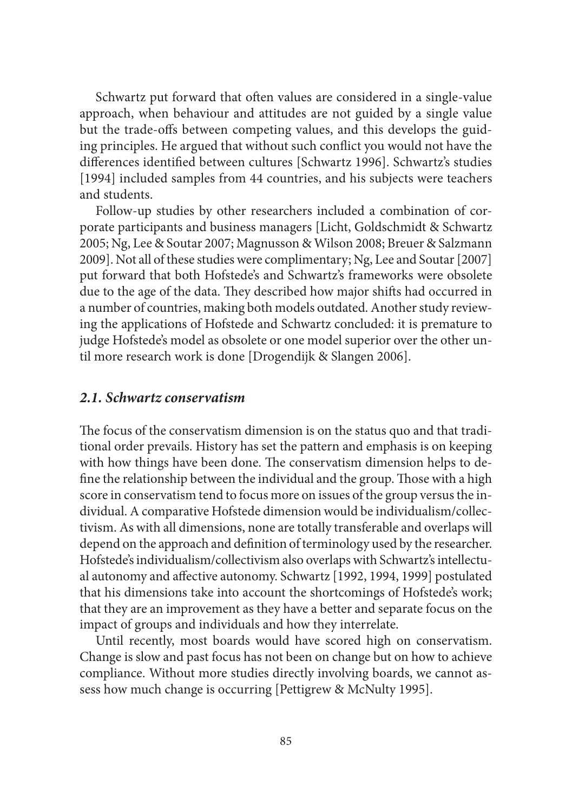Schwartz put forward that often values are considered in a single-value approach, when behaviour and attitudes are not guided by a single value but the trade-offs between competing values, and this develops the guiding principles. He argued that without such conflict you would not have the differences identified between cultures [Schwartz 1996]. Schwartz's studies [1994] included samples from 44 countries, and his subjects were teachers and students.

Follow-up studies by other researchers included a combination of corporate participants and business managers [Licht, Goldschmidt & Schwartz 2005; Ng, Lee & Soutar 2007; Magnusson & Wilson 2008; Breuer & Salzmann 2009]. Not all of these studies were complimentary; Ng, Lee and Soutar [2007] put forward that both Hofstede's and Schwartz's frameworks were obsolete due to the age of the data. They described how major shifts had occurred in a number of countries, making both models outdated. Another study reviewing the applications of Hofstede and Schwartz concluded: it is premature to judge Hofstede's model as obsolete or one model superior over the other until more research work is done [Drogendijk & Slangen 2006].

#### *2.1. Schwartz conservatism*

The focus of the conservatism dimension is on the status quo and that traditional order prevails. History has set the pattern and emphasis is on keeping with how things have been done. The conservatism dimension helps to define the relationship between the individual and the group. Those with a high score in conservatism tend to focus more on issues of the group versus the individual. A comparative Hofstede dimension would be individualism/collectivism. As with all dimensions, none are totally transferable and overlaps will depend on the approach and definition of terminology used by the researcher. Hofstede's individualism/collectivism also overlaps with Schwartz's intellectual autonomy and affective autonomy. Schwartz [1992, 1994, 1999] postulated that his dimensions take into account the shortcomings of Hofstede's work; that they are an improvement as they have a better and separate focus on the impact of groups and individuals and how they interrelate.

Until recently, most boards would have scored high on conservatism. Change is slow and past focus has not been on change but on how to achieve compliance. Without more studies directly involving boards, we cannot assess how much change is occurring [Pettigrew & McNulty 1995].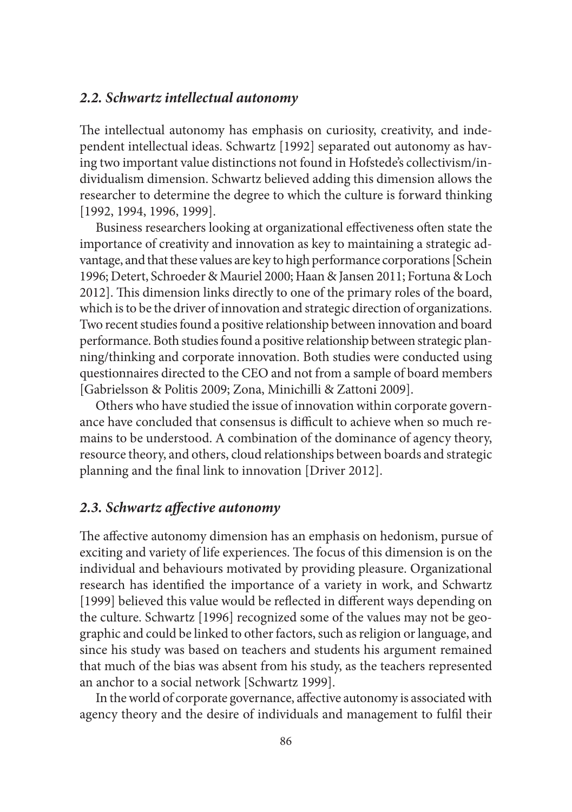#### *2.2. Schwartz intellectual autonomy*

The intellectual autonomy has emphasis on curiosity, creativity, and independent intellectual ideas. Schwartz [1992] separated out autonomy as having two important value distinctions not found in Hofstede's collectivism/individualism dimension. Schwartz believed adding this dimension allows the researcher to determine the degree to which the culture is forward thinking [1992, 1994, 1996, 1999].

Business researchers looking at organizational effectiveness often state the importance of creativity and innovation as key to maintaining a strategic advantage, and that these values are key to high performance corporations [Schein 1996; Detert, Schroeder & Mauriel 2000; Haan & Jansen 2011; Fortuna & Loch 2012]. This dimension links directly to one of the primary roles of the board, which is to be the driver of innovation and strategic direction of organizations. Two recent studies found a positive relationship between innovation and board performance. Both studies found a positive relationship between strategic planning/thinking and corporate innovation. Both studies were conducted using questionnaires directed to the CEO and not from a sample of board members [Gabrielsson & Politis 2009; Zona, Minichilli & Zattoni 2009].

Others who have studied the issue of innovation within corporate governance have concluded that consensus is difficult to achieve when so much remains to be understood. A combination of the dominance of agency theory, resource theory, and others, cloud relationships between boards and strategic planning and the final link to innovation [Driver 2012].

## 2.3. Schwartz affective autonomy

The affective autonomy dimension has an emphasis on hedonism, pursue of exciting and variety of life experiences. The focus of this dimension is on the individual and behaviours motivated by providing pleasure. Organizational research has identified the importance of a variety in work, and Schwartz [1999] believed this value would be reflected in different ways depending on the culture. Schwartz [1996] recognized some of the values may not be geographic and could be linked to other factors, such as religion or language, and since his study was based on teachers and students his argument remained that much of the bias was absent from his study, as the teachers represented an anchor to a social network [Schwartz 1999].

In the world of corporate governance, affective autonomy is associated with agency theory and the desire of individuals and management to fulfil their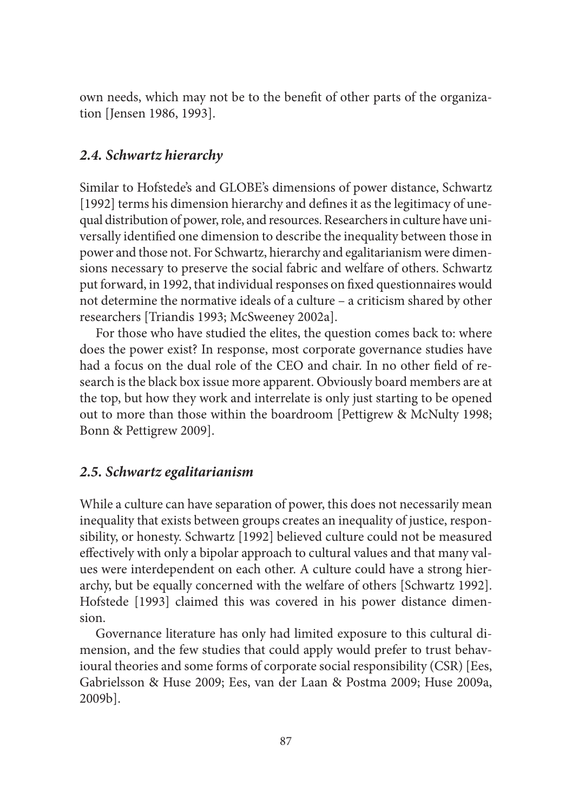own needs, which may not be to the benefit of other parts of the organization [Jensen 1986, 1993].

## *2.4. Schwartz hierarchy*

Similar to Hofstede's and GLOBE's dimensions of power distance, Schwartz [1992] terms his dimension hierarchy and defines it as the legitimacy of unequal distribution of power, role, and resources. Researchers in culture have universally identified one dimension to describe the inequality between those in power and those not. For Schwartz, hierarchy and egalitarianism were dimensions necessary to preserve the social fabric and welfare of others. Schwartz put forward, in 1992, that individual responses on fixed questionnaires would not determine the normative ideals of a culture – a criticism shared by other researchers [Triandis 1993; McSweeney 2002a].

For those who have studied the elites, the question comes back to: where does the power exist? In response, most corporate governance studies have had a focus on the dual role of the CEO and chair. In no other field of research is the black box issue more apparent. Obviously board members are at the top, but how they work and interrelate is only just starting to be opened out to more than those within the boardroom [Pettigrew & McNulty 1998; Bonn & Pettigrew 2009].

## *2.5. Schwartz egalitarianism*

While a culture can have separation of power, this does not necessarily mean inequality that exists between groups creates an inequality of justice, responsibility, or honesty. Schwartz [1992] believed culture could not be measured effectively with only a bipolar approach to cultural values and that many values were interdependent on each other. A culture could have a strong hierarchy, but be equally concerned with the welfare of others [Schwartz 1992]. Hofstede [1993] claimed this was covered in his power distance dimension.

Governance literature has only had limited exposure to this cultural dimension, and the few studies that could apply would prefer to trust behavioural theories and some forms of corporate social responsibility (CSR) [Ees, Gabrielsson & Huse 2009; Ees, van der Laan & Postma 2009; Huse 2009a, 2009b].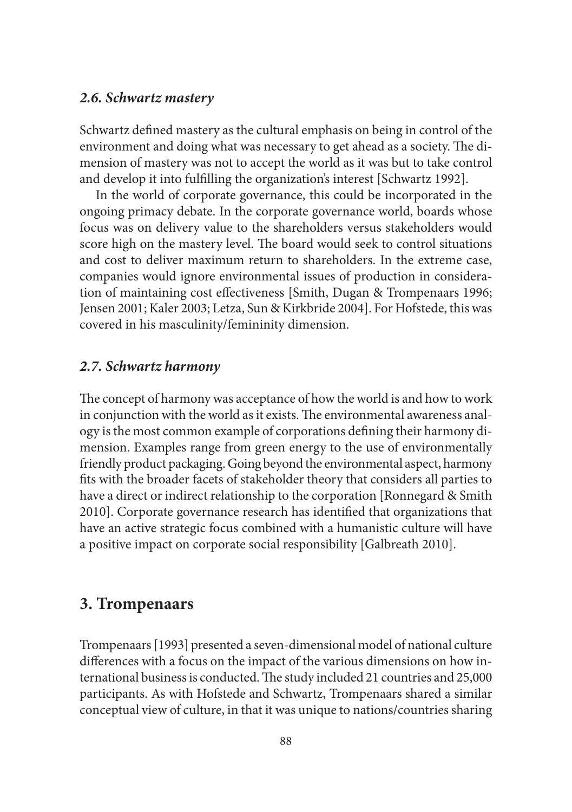#### *2.6. Schwartz mastery*

Schwartz defined mastery as the cultural emphasis on being in control of the environment and doing what was necessary to get ahead as a society. The dimension of mastery was not to accept the world as it was but to take control and develop it into fulfilling the organization's interest [Schwartz 1992].

In the world of corporate governance, this could be incorporated in the ongoing primacy debate. In the corporate governance world, boards whose focus was on delivery value to the shareholders versus stakeholders would score high on the mastery level. The board would seek to control situations and cost to deliver maximum return to shareholders. In the extreme case, companies would ignore environmental issues of production in consideration of maintaining cost effectiveness [Smith, Dugan & Trompenaars 1996; Jensen 2001; Kaler 2003; Letza, Sun & Kirkbride 2004]. For Hofstede, this was covered in his masculinity/femininity dimension.

#### *2.7. Schwartz harmony*

The concept of harmony was acceptance of how the world is and how to work in conjunction with the world as it exists. The environmental awareness analogy is the most common example of corporations defining their harmony dimension. Examples range from green energy to the use of environmentally friendly product packaging. Going beyond the environmental aspect, harmony fits with the broader facets of stakeholder theory that considers all parties to have a direct or indirect relationship to the corporation [Ronnegard & Smith 2010]. Corporate governance research has identified that organizations that have an active strategic focus combined with a humanistic culture will have a positive impact on corporate social responsibility [Galbreath 2010].

# **3. Trompenaars**

Trompenaars [1993] presented a seven-dimensional model of national culture differences with a focus on the impact of the various dimensions on how international business is conducted. The study included 21 countries and 25,000 participants. As with Hofstede and Schwartz, Trompenaars shared a similar conceptual view of culture, in that it was unique to nations/countries sharing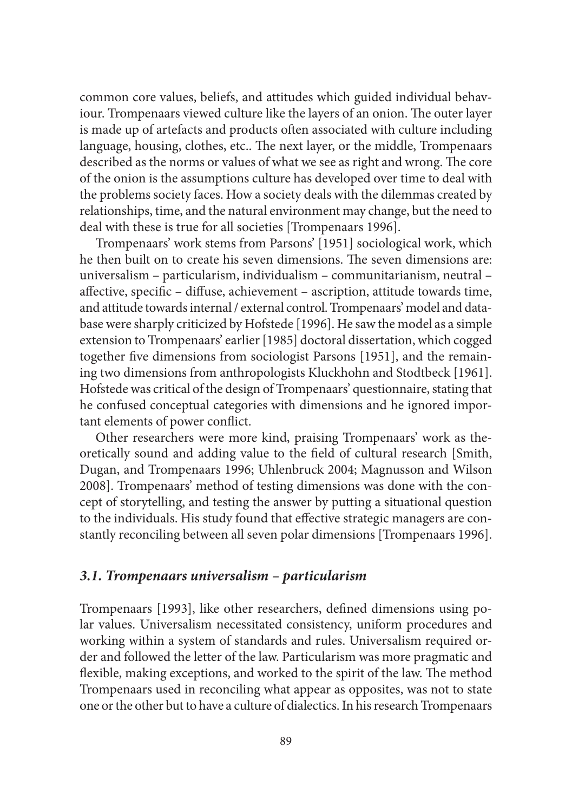common core values, beliefs, and attitudes which guided individual behaviour. Trompenaars viewed culture like the layers of an onion. The outer layer is made up of artefacts and products often associated with culture including language, housing, clothes, etc.. The next layer, or the middle, Trompenaars described as the norms or values of what we see as right and wrong. The core of the onion is the assumptions culture has developed over time to deal with the problems society faces. How a society deals with the dilemmas created by relationships, time, and the natural environment may change, but the need to deal with these is true for all societies [Trompenaars 1996].

Trompenaars' work stems from Parsons' [1951] sociological work, which he then built on to create his seven dimensions. The seven dimensions are: universalism – particularism, individualism – communitarianism, neutral – affective, specific – diffuse, achievement – ascription, attitude towards time, and attitude towards internal / external control. Trompenaars' model and database were sharply criticized by Hofstede [1996]. He saw the model as a simple extension to Trompenaars' earlier [1985] doctoral dissertation, which cogged together five dimensions from sociologist Parsons [1951], and the remaining two dimensions from anthropologists Kluckhohn and Stodtbeck [1961]. Hofstede was critical of the design of Trompenaars' questionnaire, stating that he confused conceptual categories with dimensions and he ignored important elements of power conflict.

Other researchers were more kind, praising Trompenaars' work as theoretically sound and adding value to the field of cultural research [Smith, Dugan, and Trompenaars 1996; Uhlenbruck 2004; Magnusson and Wilson 2008]. Trompenaars' method of testing dimensions was done with the concept of storytelling, and testing the answer by putting a situational question to the individuals. His study found that effective strategic managers are constantly reconciling between all seven polar dimensions [Trompenaars 1996].

#### *3.1. Trompenaars universalism – particularism*

Trompenaars [1993], like other researchers, defined dimensions using polar values. Universalism necessitated consistency, uniform procedures and working within a system of standards and rules. Universalism required order and followed the letter of the law. Particularism was more pragmatic and flexible, making exceptions, and worked to the spirit of the law. The method Trompenaars used in reconciling what appear as opposites, was not to state one or the other but to have a culture of dialectics. In his research Trompenaars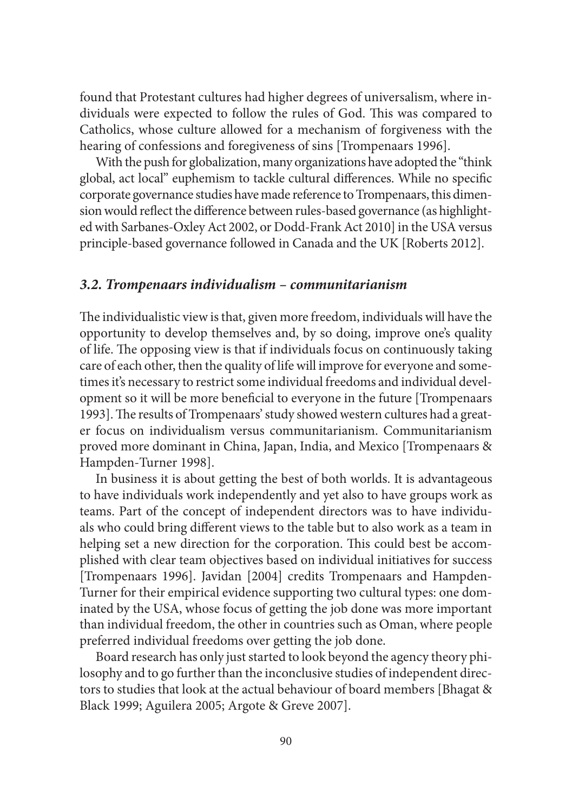found that Protestant cultures had higher degrees of universalism, where individuals were expected to follow the rules of God. This was compared to Catholics, whose culture allowed for a mechanism of forgiveness with the hearing of confessions and foregiveness of sins [Trompenaars 1996].

With the push for globalization, many organizations have adopted the "think global, act local" euphemism to tackle cultural differences. While no specific corporate governance studies have made reference to Trompenaars, this dimension would reflect the difference between rules-based governance (as highlighted with Sarbanes-Oxley Act 2002, or Dodd-Frank Act 2010] in the USA versus principle-based governance followed in Canada and the UK [Roberts 2012].

## *3.2. Trompenaars individualism – communitarianism*

The individualistic view is that, given more freedom, individuals will have the opportunity to develop themselves and, by so doing, improve one's quality of life. The opposing view is that if individuals focus on continuously taking care of each other, then the quality of life will improve for everyone and sometimes it's necessary to restrict some individual freedoms and individual development so it will be more beneficial to everyone in the future [Trompenaars 1993]. The results of Trompenaars' study showed western cultures had a greater focus on individualism versus communitarianism. Communitarianism proved more dominant in China, Japan, India, and Mexico [Trompenaars & Hampden-Turner 1998].

In business it is about getting the best of both worlds. It is advantageous to have individuals work independently and yet also to have groups work as teams. Part of the concept of independent directors was to have individuals who could bring different views to the table but to also work as a team in helping set a new direction for the corporation. This could best be accomplished with clear team objectives based on individual initiatives for success [Trompenaars 1996]. Javidan [2004] credits Trompenaars and Hampden-Turner for their empirical evidence supporting two cultural types: one dominated by the USA, whose focus of getting the job done was more important than individual freedom, the other in countries such as Oman, where people preferred individual freedoms over getting the job done.

Board research has only just started to look beyond the agency theory philosophy and to go further than the inconclusive studies of independent directors to studies that look at the actual behaviour of board members [Bhagat & Black 1999; Aguilera 2005; Argote & Greve 2007].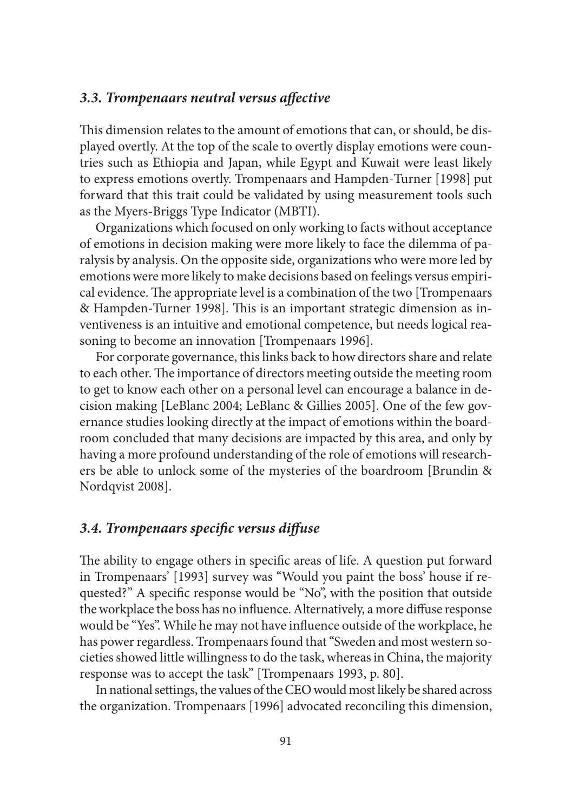## *3.3. Trompenaars neutral versus aff ective*

This dimension relates to the amount of emotions that can, or should, be displayed overtly. At the top of the scale to overtly display emotions were countries such as Ethiopia and Japan, while Egypt and Kuwait were least likely to express emotions overtly. Trompenaars and Hampden-Turner [1998] put forward that this trait could be validated by using measurement tools such as the Myers-Briggs Type Indicator (MBTI).

Organizations which focused on only working to facts without acceptance of emotions in decision making were more likely to face the dilemma of paralysis by analysis. On the opposite side, organizations who were more led by emotions were more likely to make decisions based on feelings versus empirical evidence. The appropriate level is a combination of the two [Trompenaars & Hampden-Turner 1998]. This is an important strategic dimension as inventiveness is an intuitive and emotional competence, but needs logical reasoning to become an innovation [Trompenaars 1996].

For corporate governance, this links back to how directors share and relate to each other. The importance of directors meeting outside the meeting room to get to know each other on a personal level can encourage a balance in decision making [LeBlanc 2004; LeBlanc & Gillies 2005]. One of the few governance studies looking directly at the impact of emotions within the boardroom concluded that many decisions are impacted by this area, and only by having a more profound understanding of the role of emotions will researchers be able to unlock some of the mysteries of the boardroom [Brundin & Nordqvist 2008].

#### *3.4. Trompenaars specifi c versus diff use*

The ability to engage others in specific areas of life. A question put forward in Trompenaars' [1993] survey was "Would you paint the boss' house if requested?" A specific response would be "No", with the position that outside the workplace the boss has no influence. Alternatively, a more diffuse response would be "Yes". While he may not have influence outside of the workplace, he has power regardless. Trompenaars found that "Sweden and most western societies showed little willingness to do the task, whereas in China, the majority response was to accept the task" [Trompenaars 1993, p. 80].

In national settings, the values of the CEO would most likely be shared across the organization. Trompenaars [1996] advocated reconciling this dimension,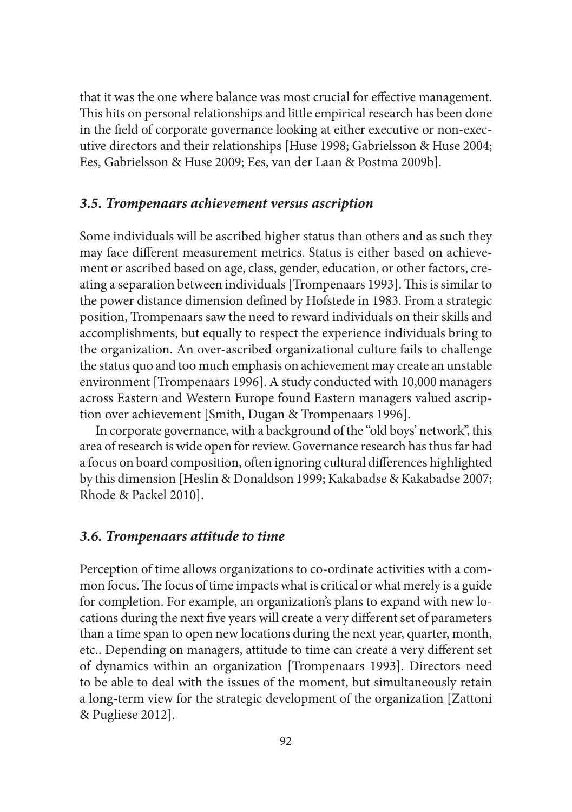that it was the one where balance was most crucial for effective management. This hits on personal relationships and little empirical research has been done in the field of corporate governance looking at either executive or non-executive directors and their relationships [Huse 1998; Gabrielsson & Huse 2004; Ees, Gabrielsson & Huse 2009; Ees, van der Laan & Postma 2009b].

#### *3.5. Trompenaars achievement versus ascription*

Some individuals will be ascribed higher status than others and as such they may face different measurement metrics. Status is either based on achievement or ascribed based on age, class, gender, education, or other factors, creating a separation between individuals [Trompenaars 1993]. This is similar to the power distance dimension defined by Hofstede in 1983. From a strategic position, Trompenaars saw the need to reward individuals on their skills and accomplishments, but equally to respect the experience individuals bring to the organization. An over-ascribed organizational culture fails to challenge the status quo and too much emphasis on achievement may create an unstable environment [Trompenaars 1996]. A study conducted with 10,000 managers across Eastern and Western Europe found Eastern managers valued ascription over achievement [Smith, Dugan & Trompenaars 1996].

In corporate governance, with a background of the "old boys' network", this area of research is wide open for review. Governance research has thus far had a focus on board composition, often ignoring cultural differences highlighted by this dimension [Heslin & Donaldson 1999; Kakabadse & Kakabadse 2007; Rhode & Packel 2010].

## *3.6. Trompenaars attitude to time*

Perception of time allows organizations to co-ordinate activities with a common focus. The focus of time impacts what is critical or what merely is a guide for completion. For example, an organization's plans to expand with new locations during the next five years will create a very different set of parameters than a time span to open new locations during the next year, quarter, month, etc.. Depending on managers, attitude to time can create a very different set of dynamics within an organization [Trompenaars 1993]. Directors need to be able to deal with the issues of the moment, but simultaneously retain a long-term view for the strategic development of the organization [Zattoni & Pugliese 2012].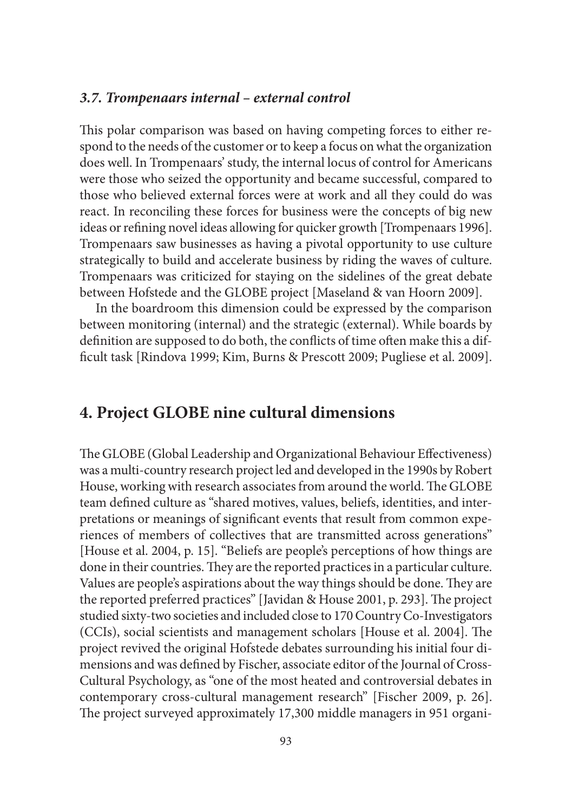#### *3.7. Trompenaars internal – external control*

This polar comparison was based on having competing forces to either respond to the needs of the customer or to keep a focus on what the organization does well. In Trompenaars' study, the internal locus of control for Americans were those who seized the opportunity and became successful, compared to those who believed external forces were at work and all they could do was react. In reconciling these forces for business were the concepts of big new ideas or refining novel ideas allowing for quicker growth [Trompenaars 1996]. Trompenaars saw businesses as having a pivotal opportunity to use culture strategically to build and accelerate business by riding the waves of culture. Trompenaars was criticized for staying on the sidelines of the great debate between Hofstede and the GLOBE project [Maseland & van Hoorn 2009].

In the boardroom this dimension could be expressed by the comparison between monitoring (internal) and the strategic (external). While boards by definition are supposed to do both, the conflicts of time often make this a difficult task [Rindova 1999; Kim, Burns & Prescott 2009; Pugliese et al. 2009].

# **4. Project GLOBE nine cultural dimensions**

The GLOBE (Global Leadership and Organizational Behaviour Effectiveness) was a multi-country research project led and developed in the 1990s by Robert House, working with research associates from around the world. The GLOBE team defined culture as "shared motives, values, beliefs, identities, and interpretations or meanings of significant events that result from common experiences of members of collectives that are transmitted across generations" [House et al. 2004, p. 15]. "Beliefs are people's perceptions of how things are done in their countries. They are the reported practices in a particular culture. Values are people's aspirations about the way things should be done. They are the reported preferred practices" [Javidan & House 2001, p. 293]. The project studied sixty-two societies and included close to 170 Country Co-Investigators (CCIs), social scientists and management scholars [House et al. 2004]. The project revived the original Hofstede debates surrounding his initial four dimensions and was defined by Fischer, associate editor of the Journal of Cross-Cultural Psychology, as "one of the most heated and controversial debates in contemporary cross-cultural management research" [Fischer 2009, p. 26]. The project surveyed approximately 17,300 middle managers in 951 organi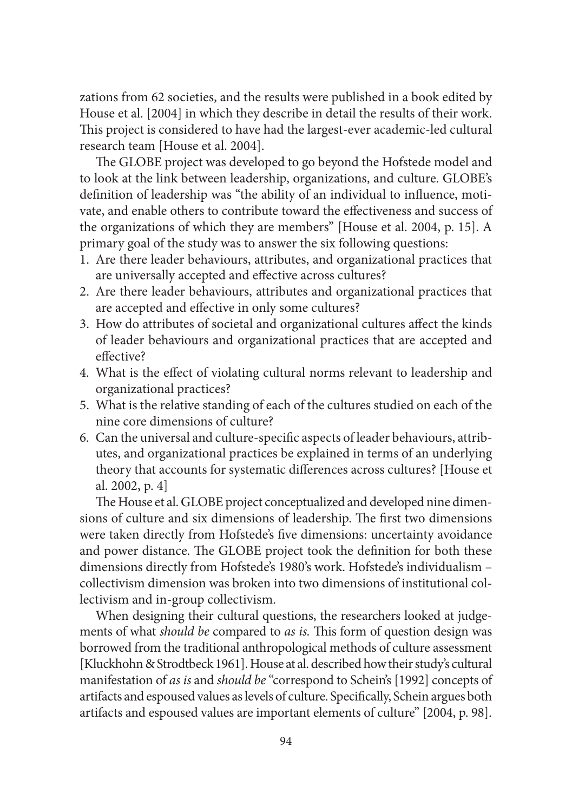zations from 62 societies, and the results were published in a book edited by House et al. [2004] in which they describe in detail the results of their work. This project is considered to have had the largest-ever academic-led cultural research team [House et al. 2004].

The GLOBE project was developed to go beyond the Hofstede model and to look at the link between leadership, organizations, and culture. GLOBE's definition of leadership was "the ability of an individual to influence, motivate, and enable others to contribute toward the effectiveness and success of the organizations of which they are members" [House et al. 2004, p. 15]. A primary goal of the study was to answer the six following questions:

- 1. Are there leader behaviours, attributes, and organizational practices that are universally accepted and effective across cultures?
- 2. Are there leader behaviours, attributes and organizational practices that are accepted and effective in only some cultures?
- 3. How do attributes of societal and organizational cultures affect the kinds of leader behaviours and organizational practices that are accepted and effective?
- 4. What is the effect of violating cultural norms relevant to leadership and organizational practices?
- 5. What is the relative standing of each of the cultures studied on each of the nine core dimensions of culture?
- 6. Can the universal and culture-specific aspects of leader behaviours, attributes, and organizational practices be explained in terms of an underlying theory that accounts for systematic differences across cultures? [House et al. 2002, p. 4]

The House et al. GLOBE project conceptualized and developed nine dimensions of culture and six dimensions of leadership. The first two dimensions were taken directly from Hofstede's five dimensions: uncertainty avoidance and power distance. The GLOBE project took the definition for both these dimensions directly from Hofstede's 1980's work. Hofstede's individualism – collectivism dimension was broken into two dimensions of institutional collectivism and in-group collectivism.

When designing their cultural questions, the researchers looked at judgements of what *should be* compared to *as is*. This form of question design was borrowed from the traditional anthropological methods of culture assessment [Kluckhohn & Strodtbeck 1961]. House at al. described how their study's cultural manifestation of *as is* and *should be* "correspond to Schein's [1992] concepts of artifacts and espoused values as levels of culture. Specifically, Schein argues both artifacts and espoused values are important elements of culture" [2004, p. 98].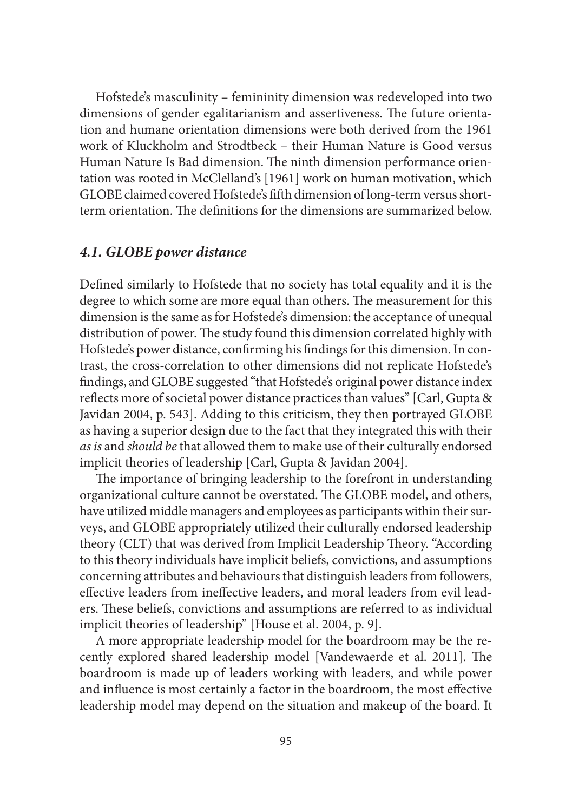Hofstede's masculinity – femininity dimension was redeveloped into two dimensions of gender egalitarianism and assertiveness. The future orientation and humane orientation dimensions were both derived from the 1961 work of Kluckholm and Strodtbeck – their Human Nature is Good versus Human Nature Is Bad dimension. The ninth dimension performance orientation was rooted in McClelland's [1961] work on human motivation, which GLOBE claimed covered Hofstede's fifth dimension of long-term versus shortterm orientation. The definitions for the dimensions are summarized below.

## *4.1. GLOBE power distance*

Defined similarly to Hofstede that no society has total equality and it is the degree to which some are more equal than others. The measurement for this dimension is the same as for Hofstede's dimension: the acceptance of unequal distribution of power. The study found this dimension correlated highly with Hofstede's power distance, confirming his findings for this dimension. In contrast, the cross-correlation to other dimensions did not replicate Hofstede's findings, and GLOBE suggested "that Hofstede's original power distance index reflects more of societal power distance practices than values" [Carl, Gupta & Javidan 2004, p. 543]. Adding to this criticism, they then portrayed GLOBE as having a superior design due to the fact that they integrated this with their *as is* and *should be* that allowed them to make use of their culturally endorsed implicit theories of leadership [Carl, Gupta & Javidan 2004].

The importance of bringing leadership to the forefront in understanding organizational culture cannot be overstated. The GLOBE model, and others, have utilized middle managers and employees as participants within their surveys, and GLOBE appropriately utilized their culturally endorsed leadership theory (CLT) that was derived from Implicit Leadership Theory. "According to this theory individuals have implicit beliefs, convictions, and assumptions concerning attributes and behaviours that distinguish leaders from followers, effective leaders from ineffective leaders, and moral leaders from evil leaders. These beliefs, convictions and assumptions are referred to as individual implicit theories of leadership" [House et al. 2004, p. 9].

A more appropriate leadership model for the boardroom may be the recently explored shared leadership model [Vandewaerde et al. 2011]. The boardroom is made up of leaders working with leaders, and while power and influence is most certainly a factor in the boardroom, the most effective leadership model may depend on the situation and makeup of the board. It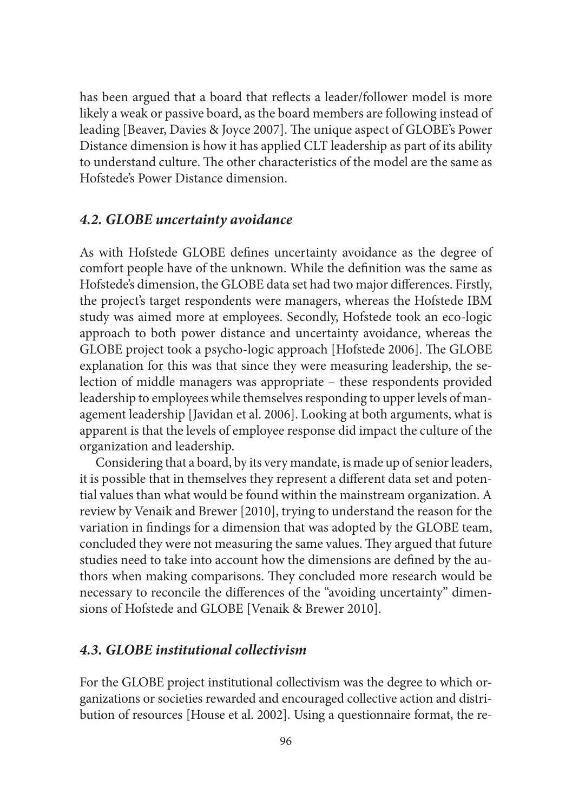has been argued that a board that reflects a leader/follower model is more likely a weak or passive board, as the board members are following instead of leading [Beaver, Davies & Joyce 2007]. The unique aspect of GLOBE's Power Distance dimension is how it has applied CLT leadership as part of its ability to understand culture. The other characteristics of the model are the same as Hofstede's Power Distance dimension.

#### *4.2. GLOBE uncertainty avoidance*

As with Hofstede GLOBE defines uncertainty avoidance as the degree of comfort people have of the unknown. While the definition was the same as Hofstede's dimension, the GLOBE data set had two major differences. Firstly, the project's target respondents were managers, whereas the Hofstede IBM study was aimed more at employees. Secondly, Hofstede took an eco-logic approach to both power distance and uncertainty avoidance, whereas the GLOBE project took a psycho-logic approach [Hofstede 2006]. The GLOBE explanation for this was that since they were measuring leadership, the selection of middle managers was appropriate – these respondents provided leadership to employees while themselves responding to upper levels of management leadership [Javidan et al. 2006]. Looking at both arguments, what is apparent is that the levels of employee response did impact the culture of the organization and leadership.

Considering that a board, by its very mandate, is made up of senior leaders, it is possible that in themselves they represent a different data set and potential values than what would be found within the mainstream organization. A review by Venaik and Brewer [2010], trying to understand the reason for the variation in findings for a dimension that was adopted by the GLOBE team, concluded they were not measuring the same values. They argued that future studies need to take into account how the dimensions are defined by the authors when making comparisons. They concluded more research would be necessary to reconcile the differences of the "avoiding uncertainty" dimensions of Hofstede and GLOBE [Venaik & Brewer 2010].

#### *4.3. GLOBE institutional collectivism*

For the GLOBE project institutional collectivism was the degree to which organizations or societies rewarded and encouraged collective action and distribution of resources [House et al. 2002]. Using a questionnaire format, the re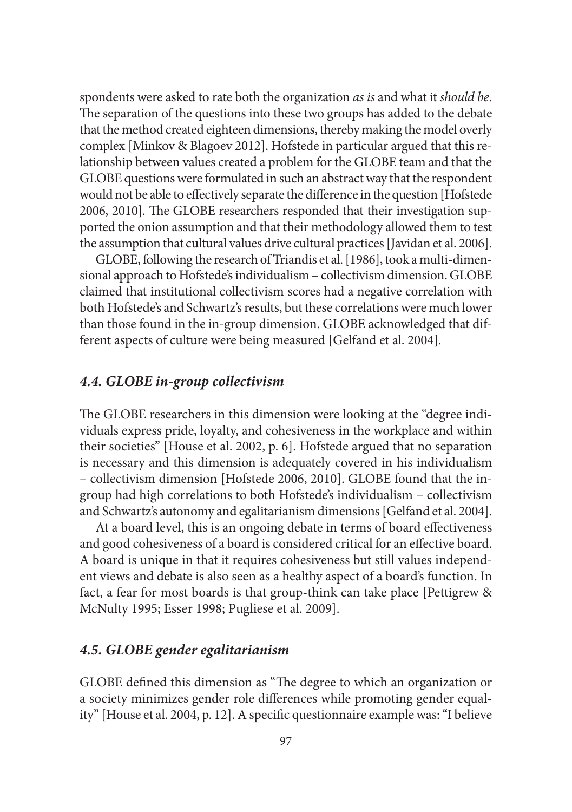spondents were asked to rate both the organization *as is* and what it *should be*. The separation of the questions into these two groups has added to the debate that the method created eighteen dimensions, thereby making the model overly complex [Minkov & Blagoev 2012]. Hofstede in particular argued that this relationship between values created a problem for the GLOBE team and that the GLOBE questions were formulated in such an abstract way that the respondent would not be able to effectively separate the difference in the question [Hofstede] 2006, 2010]. The GLOBE researchers responded that their investigation supported the onion assumption and that their methodology allowed them to test the assumption that cultural values drive cultural practices [Javidan et al. 2006].

GLOBE, following the research of Triandis et al. [1986], took a multi-dimensional approach to Hofstede's individualism – collectivism dimension. GLOBE claimed that institutional collectivism scores had a negative correlation with both Hofstede's and Schwartz's results, but these correlations were much lower than those found in the in-group dimension. GLOBE acknowledged that different aspects of culture were being measured [Gelfand et al. 2004].

## *4.4. GLOBE in-group collectivism*

The GLOBE researchers in this dimension were looking at the "degree individuals express pride, loyalty, and cohesiveness in the workplace and within their societies" [House et al. 2002, p. 6]. Hofstede argued that no separation is necessary and this dimension is adequately covered in his individualism – collectivism dimension [Hofstede 2006, 2010]. GLOBE found that the ingroup had high correlations to both Hofstede's individualism – collectivism and Schwartz's autonomy and egalitarianism dimensions [Gelfand et al. 2004].

At a board level, this is an ongoing debate in terms of board effectiveness and good cohesiveness of a board is considered critical for an effective board. A board is unique in that it requires cohesiveness but still values independent views and debate is also seen as a healthy aspect of a board's function. In fact, a fear for most boards is that group-think can take place [Pettigrew & McNulty 1995; Esser 1998; Pugliese et al. 2009].

## *4.5. GLOBE gender egalitarianism*

GLOBE defined this dimension as "The degree to which an organization or a society minimizes gender role differences while promoting gender equality" [House et al. 2004, p. 12]. A specific questionnaire example was: "I believe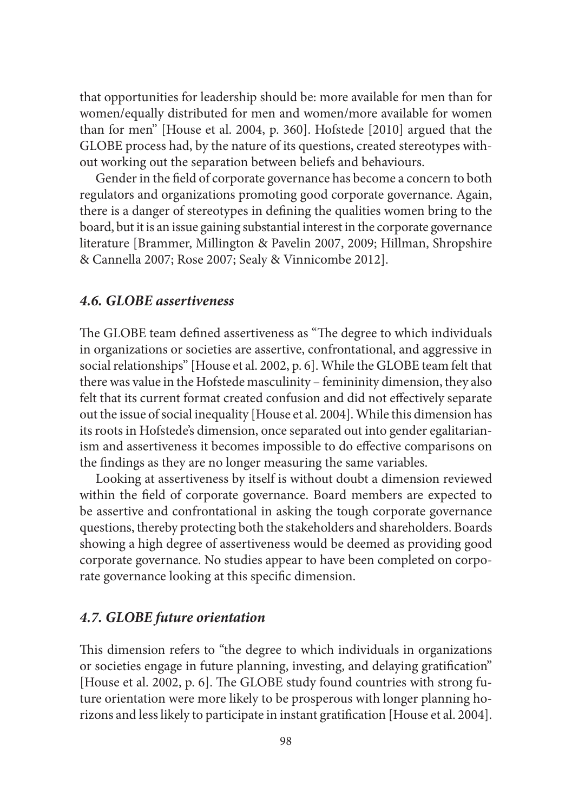that opportunities for leadership should be: more available for men than for women/equally distributed for men and women/more available for women than for men" [House et al. 2004, p. 360]. Hofstede [2010] argued that the GLOBE process had, by the nature of its questions, created stereotypes without working out the separation between beliefs and behaviours.

Gender in the field of corporate governance has become a concern to both regulators and organizations promoting good corporate governance. Again, there is a danger of stereotypes in defining the qualities women bring to the board, but it is an issue gaining substantial interest in the corporate governance literature [Brammer, Millington & Pavelin 2007, 2009; Hillman, Shropshire & Cannella 2007; Rose 2007; Sealy & Vinnicombe 2012].

## *4.6. GLOBE assertiveness*

The GLOBE team defined assertiveness as "The degree to which individuals in organizations or societies are assertive, confrontational, and aggressive in social relationships" [House et al. 2002, p. 6]. While the GLOBE team felt that there was value in the Hofstede masculinity – femininity dimension, they also felt that its current format created confusion and did not effectively separate out the issue of social inequality [House et al. 2004]. While this dimension has its roots in Hofstede's dimension, once separated out into gender egalitarianism and assertiveness it becomes impossible to do effective comparisons on the findings as they are no longer measuring the same variables.

Looking at assertiveness by itself is without doubt a dimension reviewed within the field of corporate governance. Board members are expected to be assertive and confrontational in asking the tough corporate governance questions, thereby protecting both the stakeholders and shareholders. Boards showing a high degree of assertiveness would be deemed as providing good corporate governance. No studies appear to have been completed on corporate governance looking at this specific dimension.

#### *4.7. GLOBE future orientation*

This dimension refers to "the degree to which individuals in organizations or societies engage in future planning, investing, and delaying gratification" [House et al. 2002, p. 6]. The GLOBE study found countries with strong future orientation were more likely to be prosperous with longer planning horizons and less likely to participate in instant gratification [House et al. 2004].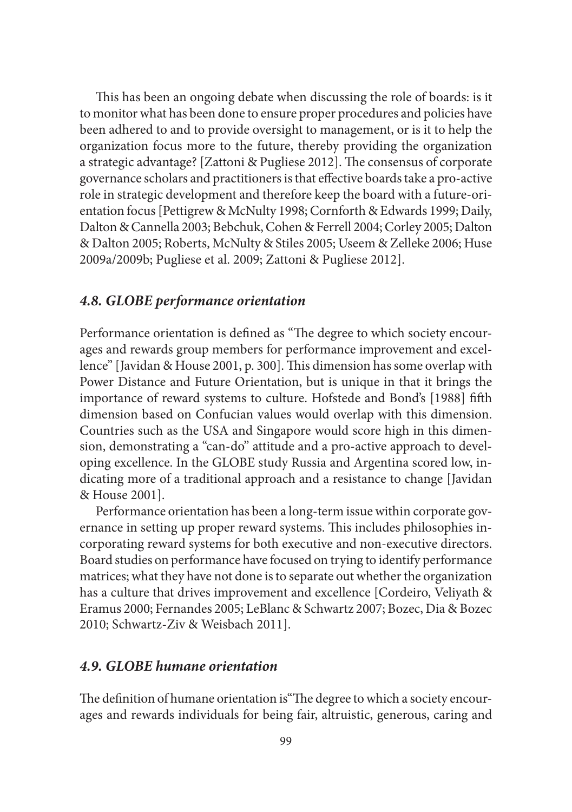This has been an ongoing debate when discussing the role of boards: is it to monitor what has been done to ensure proper procedures and policies have been adhered to and to provide oversight to management, or is it to help the organization focus more to the future, thereby providing the organization a strategic advantage? [Zattoni & Pugliese 2012]. The consensus of corporate governance scholars and practitioners is that effective boards take a pro-active role in strategic development and therefore keep the board with a future-orientation focus [Pettigrew & McNulty 1998; Cornforth & Edwards 1999; Daily, Dalton & Cannella 2003; Bebchuk, Cohen & Ferrell 2004; Corley 2005; Dalton & Dalton 2005; Roberts, McNulty & Stiles 2005; Useem & Zelleke 2006; Huse 2009a/2009b; Pugliese et al. 2009; Zattoni & Pugliese 2012].

## *4.8. GLOBE performance orientation*

Performance orientation is defined as "The degree to which society encourages and rewards group members for performance improvement and excellence" [Javidan & House 2001, p. 300]. This dimension has some overlap with Power Distance and Future Orientation, but is unique in that it brings the importance of reward systems to culture. Hofstede and Bond's [1988] fifth dimension based on Confucian values would overlap with this dimension. Countries such as the USA and Singapore would score high in this dimension, demonstrating a "can-do" attitude and a pro-active approach to developing excellence. In the GLOBE study Russia and Argentina scored low, indicating more of a traditional approach and a resistance to change [Javidan & House 2001].

Performance orientation has been a long-term issue within corporate governance in setting up proper reward systems. This includes philosophies incorporating reward systems for both executive and non-executive directors. Board studies on performance have focused on trying to identify performance matrices; what they have not done is to separate out whether the organization has a culture that drives improvement and excellence [Cordeiro, Veliyath & Eramus 2000; Fernandes 2005; LeBlanc & Schwartz 2007; Bozec, Dia & Bozec 2010; Schwartz-Ziv & Weisbach 2011].

## *4.9. GLOBE humane orientation*

The definition of humane orientation is "The degree to which a society encourages and rewards individuals for being fair, altruistic, generous, caring and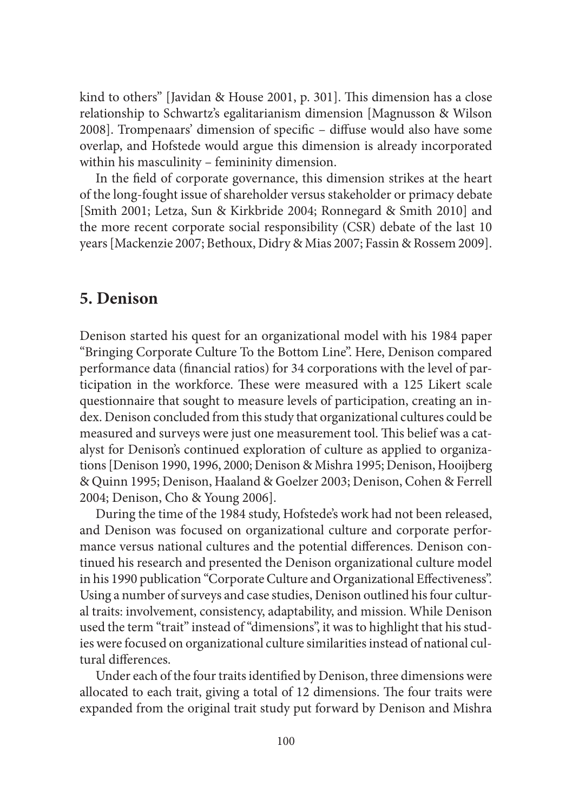kind to others" [Javidan & House 2001, p. 301]. This dimension has a close relationship to Schwartz's egalitarianism dimension [Magnusson & Wilson 2008]. Trompenaars' dimension of specific – diffuse would also have some overlap, and Hofstede would argue this dimension is already incorporated within his masculinity – femininity dimension.

In the field of corporate governance, this dimension strikes at the heart of the long-fought issue of shareholder versus stakeholder or primacy debate [Smith 2001; Letza, Sun & Kirkbride 2004; Ronnegard & Smith 2010] and the more recent corporate social responsibility (CSR) debate of the last 10 years [Mackenzie 2007; Bethoux, Didry & Mias 2007; Fassin & Rossem 2009].

# **5. Denison**

Denison started his quest for an organizational model with his 1984 paper "Bringing Corporate Culture To the Bottom Line". Here, Denison compared performance data (financial ratios) for 34 corporations with the level of participation in the workforce. These were measured with a 125 Likert scale questionnaire that sought to measure levels of participation, creating an index. Denison concluded from this study that organizational cultures could be measured and surveys were just one measurement tool. This belief was a catalyst for Denison's continued exploration of culture as applied to organizations [Denison 1990, 1996, 2000; Denison & Mishra 1995; Denison, Hooijberg & Quinn 1995; Denison, Haaland & Goelzer 2003; Denison, Cohen & Ferrell 2004; Denison, Cho & Young 2006].

During the time of the 1984 study, Hofstede's work had not been released, and Denison was focused on organizational culture and corporate performance versus national cultures and the potential differences. Denison continued his research and presented the Denison organizational culture model in his 1990 publication "Corporate Culture and Organizational Effectiveness". Using a number of surveys and case studies, Denison outlined his four cultural traits: involvement, consistency, adaptability, and mission. While Denison used the term "trait" instead of "dimensions", it was to highlight that his studies were focused on organizational culture similarities instead of national cultural differences.

Under each of the four traits identified by Denison, three dimensions were allocated to each trait, giving a total of 12 dimensions. The four traits were expanded from the original trait study put forward by Denison and Mishra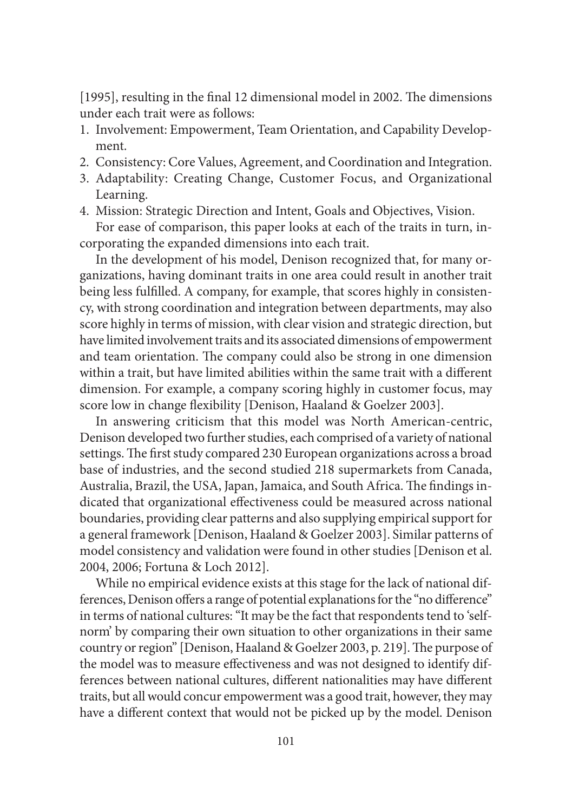$[1995]$ , resulting in the final 12 dimensional model in 2002. The dimensions under each trait were as follows:

- 1. Involvement: Empowerment, Team Orientation, and Capability Development.
- 2. Consistency: Core Values, Agreement, and Coordination and Integration.
- 3. Adaptability: Creating Change, Customer Focus, and Organizational Learning.
- 4. Mission: Strategic Direction and Intent, Goals and Objectives, Vision.

For ease of comparison, this paper looks at each of the traits in turn, incorporating the expanded dimensions into each trait.

In the development of his model, Denison recognized that, for many organizations, having dominant traits in one area could result in another trait being less fulfilled. A company, for example, that scores highly in consistency, with strong coordination and integration between departments, may also score highly in terms of mission, with clear vision and strategic direction, but have limited involvement traits and its associated dimensions of empowerment and team orientation. The company could also be strong in one dimension within a trait, but have limited abilities within the same trait with a different dimension. For example, a company scoring highly in customer focus, may score low in change flexibility [Denison, Haaland & Goelzer 2003].

In answering criticism that this model was North American-centric, Denison developed two further studies, each comprised of a variety of national settings. The first study compared 230 European organizations across a broad base of industries, and the second studied 218 supermarkets from Canada, Australia, Brazil, the USA, Japan, Jamaica, and South Africa. The findings indicated that organizational effectiveness could be measured across national boundaries, providing clear patterns and also supplying empirical support for a general framework [Denison, Haaland & Goelzer 2003]. Similar patterns of model consistency and validation were found in other studies [Denison et al. 2004, 2006; Fortuna & Loch 2012].

While no empirical evidence exists at this stage for the lack of national differences, Denison offers a range of potential explanations for the "no difference" in terms of national cultures: "It may be the fact that respondents tend to 'selfnorm' by comparing their own situation to other organizations in their same country or region" [Denison, Haaland & Goelzer 2003, p. 219]. The purpose of the model was to measure effectiveness and was not designed to identify differences between national cultures, different nationalities may have different traits, but all would concur empowerment was a good trait, however, they may have a different context that would not be picked up by the model. Denison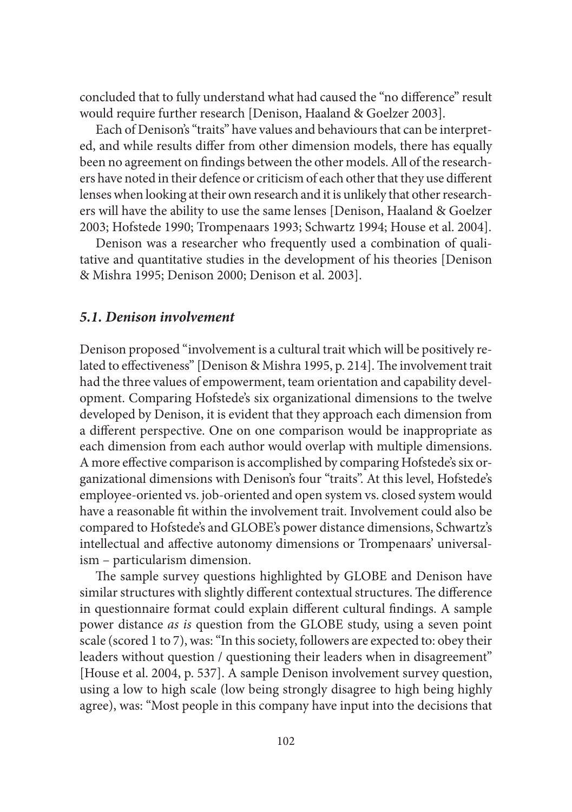concluded that to fully understand what had caused the "no difference" result would require further research [Denison, Haaland & Goelzer 2003].

Each of Denison's "traits" have values and behaviours that can be interpreted, and while results differ from other dimension models, there has equally been no agreement on findings between the other models. All of the researchers have noted in their defence or criticism of each other that they use different lenses when looking at their own research and it is unlikely that other researchers will have the ability to use the same lenses [Denison, Haaland & Goelzer 2003; Hofstede 1990; Trompenaars 1993; Schwartz 1994; House et al. 2004].

Denison was a researcher who frequently used a combination of qualitative and quantitative studies in the development of his theories [Denison & Mishra 1995; Denison 2000; Denison et al. 2003].

#### *5.1. Denison involvement*

Denison proposed "involvement is a cultural trait which will be positively related to effectiveness" [Denison & Mishra 1995, p. 214]. The involvement trait had the three values of empowerment, team orientation and capability development. Comparing Hofstede's six organizational dimensions to the twelve developed by Denison, it is evident that they approach each dimension from a different perspective. One on one comparison would be inappropriate as each dimension from each author would overlap with multiple dimensions. A more effective comparison is accomplished by comparing Hofstede's six organizational dimensions with Denison's four "traits". At this level, Hofstede's employee-oriented vs. job-oriented and open system vs. closed system would have a reasonable fit within the involvement trait. Involvement could also be compared to Hofstede's and GLOBE's power distance dimensions, Schwartz's intellectual and affective autonomy dimensions or Trompenaars' universalism – particularism dimension.

The sample survey questions highlighted by GLOBE and Denison have similar structures with slightly different contextual structures. The difference in questionnaire format could explain different cultural findings. A sample power distance *as is* question from the GLOBE study, using a seven point scale (scored 1 to 7), was: "In this society, followers are expected to: obey their leaders without question / questioning their leaders when in disagreement" [House et al. 2004, p. 537]. A sample Denison involvement survey question, using a low to high scale (low being strongly disagree to high being highly agree), was: "Most people in this company have input into the decisions that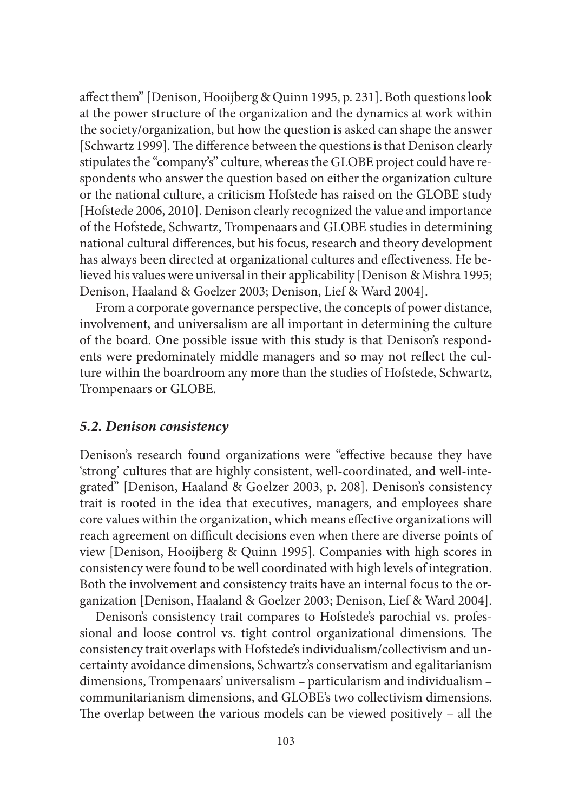affect them" [Denison, Hooijberg & Quinn 1995, p. 231]. Both questions look at the power structure of the organization and the dynamics at work within the society/organization, but how the question is asked can shape the answer [Schwartz 1999]. The difference between the questions is that Denison clearly stipulates the "company's" culture, whereas the GLOBE project could have respondents who answer the question based on either the organization culture or the national culture, a criticism Hofstede has raised on the GLOBE study [Hofstede 2006, 2010]. Denison clearly recognized the value and importance of the Hofstede, Schwartz, Trompenaars and GLOBE studies in determining national cultural differences, but his focus, research and theory development has always been directed at organizational cultures and effectiveness. He believed his values were universal in their applicability [Denison & Mishra 1995; Denison, Haaland & Goelzer 2003; Denison, Lief & Ward 2004].

From a corporate governance perspective, the concepts of power distance, involvement, and universalism are all important in determining the culture of the board. One possible issue with this study is that Denison's respondents were predominately middle managers and so may not reflect the culture within the boardroom any more than the studies of Hofstede, Schwartz, Trompenaars or GLOBE.

#### *5.2. Denison consistency*

Denison's research found organizations were "effective because they have 'strong' cultures that are highly consistent, well-coordinated, and well-integrated" [Denison, Haaland & Goelzer 2003, p. 208]. Denison's consistency trait is rooted in the idea that executives, managers, and employees share core values within the organization, which means effective organizations will reach agreement on difficult decisions even when there are diverse points of view [Denison, Hooijberg & Quinn 1995]. Companies with high scores in consistency were found to be well coordinated with high levels of integration. Both the involvement and consistency traits have an internal focus to the organization [Denison, Haaland & Goelzer 2003; Denison, Lief & Ward 2004].

Denison's consistency trait compares to Hofstede's parochial vs. professional and loose control vs. tight control organizational dimensions. The consistency trait overlaps with Hofstede's individualism/collectivism and uncertainty avoidance dimensions, Schwartz's conservatism and egalitarianism dimensions, Trompenaars' universalism – particularism and individualism – communitarianism dimensions, and GLOBE's two collectivism dimensions. The overlap between the various models can be viewed positively  $-$  all the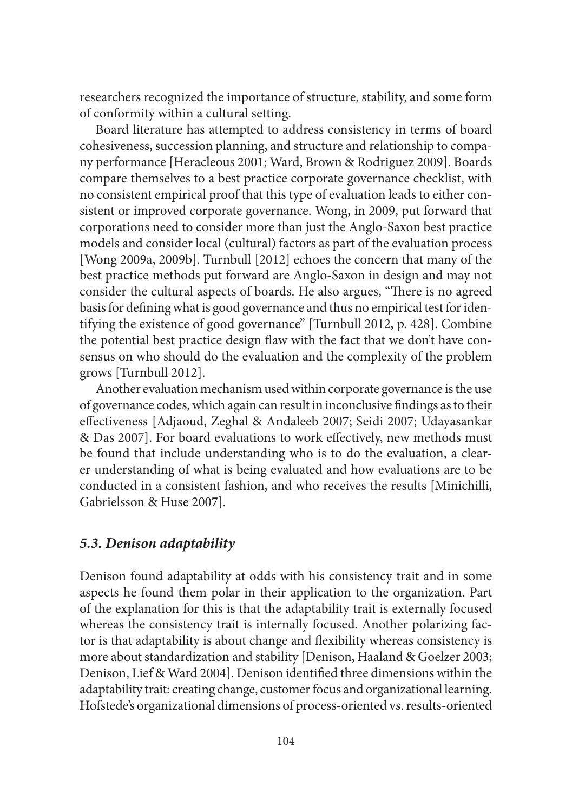researchers recognized the importance of structure, stability, and some form of conformity within a cultural setting.

Board literature has attempted to address consistency in terms of board cohesiveness, succession planning, and structure and relationship to company performance [Heracleous 2001; Ward, Brown & Rodriguez 2009]. Boards compare themselves to a best practice corporate governance checklist, with no consistent empirical proof that this type of evaluation leads to either consistent or improved corporate governance. Wong, in 2009, put forward that corporations need to consider more than just the Anglo-Saxon best practice models and consider local (cultural) factors as part of the evaluation process [Wong 2009a, 2009b]. Turnbull [2012] echoes the concern that many of the best practice methods put forward are Anglo-Saxon in design and may not consider the cultural aspects of boards. He also argues, "There is no agreed basis for defining what is good governance and thus no empirical test for identifying the existence of good governance" [Turnbull 2012, p. 428]. Combine the potential best practice design flaw with the fact that we don't have consensus on who should do the evaluation and the complexity of the problem grows [Turnbull 2012].

Another evaluation mechanism used within corporate governance is the use of governance codes, which again can result in inconclusive findings as to their effectiveness [Adjaoud, Zeghal & Andaleeb 2007; Seidi 2007; Udayasankar & Das 2007]. For board evaluations to work effectively, new methods must be found that include understanding who is to do the evaluation, a clearer understanding of what is being evaluated and how evaluations are to be conducted in a consistent fashion, and who receives the results [Minichilli, Gabrielsson & Huse 2007].

## *5.3. Denison adaptability*

Denison found adaptability at odds with his consistency trait and in some aspects he found them polar in their application to the organization. Part of the explanation for this is that the adaptability trait is externally focused whereas the consistency trait is internally focused. Another polarizing factor is that adaptability is about change and flexibility whereas consistency is more about standardization and stability [Denison, Haaland & Goelzer 2003; Denison, Lief & Ward 2004]. Denison identified three dimensions within the adaptability trait: creating change, customer focus and organizational learning. Hofstede's organizational dimensions of process-oriented vs. results-oriented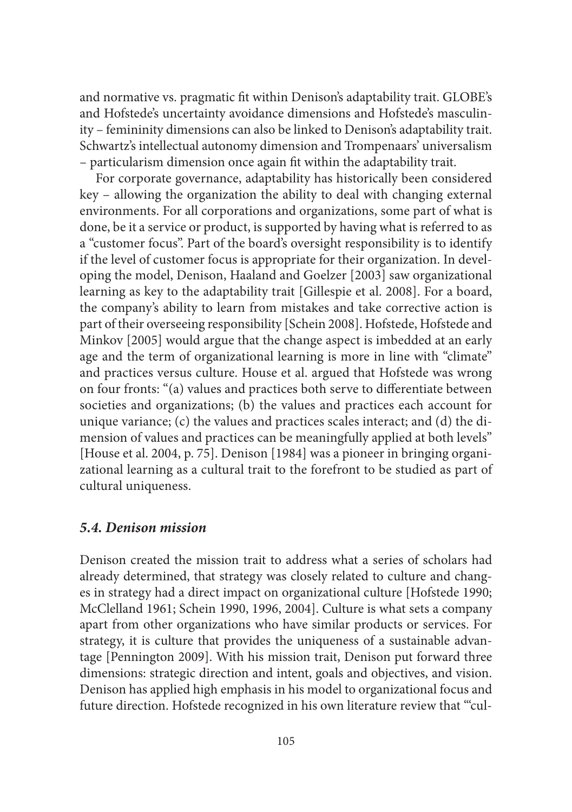and normative vs. pragmatic fi t within Denison's adaptability trait. GLOBE's and Hofstede's uncertainty avoidance dimensions and Hofstede's masculinity – femininity dimensions can also be linked to Denison's adaptability trait. Schwartz's intellectual autonomy dimension and Trompenaars' universalism – particularism dimension once again fi t within the adaptability trait.

For corporate governance, adaptability has historically been considered key – allowing the organization the ability to deal with changing external environments. For all corporations and organizations, some part of what is done, be it a service or product, is supported by having what is referred to as a "customer focus". Part of the board's oversight responsibility is to identify if the level of customer focus is appropriate for their organization. In developing the model, Denison, Haaland and Goelzer [2003] saw organizational learning as key to the adaptability trait [Gillespie et al. 2008]. For a board, the company's ability to learn from mistakes and take corrective action is part of their overseeing responsibility [Schein 2008]. Hofstede, Hofstede and Minkov [2005] would argue that the change aspect is imbedded at an early age and the term of organizational learning is more in line with "climate" and practices versus culture. House et al. argued that Hofstede was wrong on four fronts: "(a) values and practices both serve to differentiate between societies and organizations; (b) the values and practices each account for unique variance; (c) the values and practices scales interact; and (d) the dimension of values and practices can be meaningfully applied at both levels" [House et al. 2004, p. 75]. Denison [1984] was a pioneer in bringing organizational learning as a cultural trait to the forefront to be studied as part of cultural uniqueness.

### *5.4. Denison mission*

Denison created the mission trait to address what a series of scholars had already determined, that strategy was closely related to culture and changes in strategy had a direct impact on organizational culture [Hofstede 1990; McClelland 1961; Schein 1990, 1996, 2004]. Culture is what sets a company apart from other organizations who have similar products or services. For strategy, it is culture that provides the uniqueness of a sustainable advantage [Pennington 2009]. With his mission trait, Denison put forward three dimensions: strategic direction and intent, goals and objectives, and vision. Denison has applied high emphasis in his model to organizational focus and future direction. Hofstede recognized in his own literature review that "'cul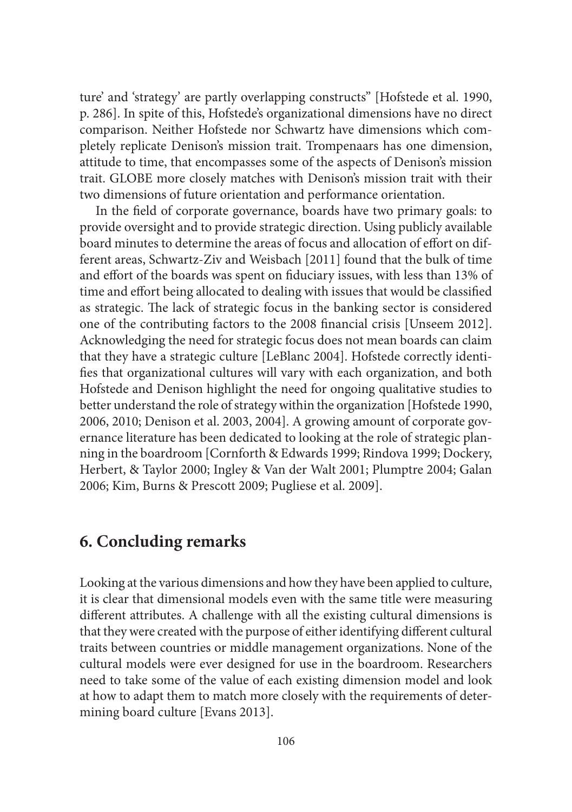ture' and 'strategy' are partly overlapping constructs" [Hofstede et al. 1990, p. 286]. In spite of this, Hofstede's organizational dimensions have no direct comparison. Neither Hofstede nor Schwartz have dimensions which completely replicate Denison's mission trait. Trompenaars has one dimension, attitude to time, that encompasses some of the aspects of Denison's mission trait. GLOBE more closely matches with Denison's mission trait with their two dimensions of future orientation and performance orientation.

In the field of corporate governance, boards have two primary goals: to provide oversight and to provide strategic direction. Using publicly available board minutes to determine the areas of focus and allocation of effort on different areas, Schwartz-Ziv and Weisbach [2011] found that the bulk of time and effort of the boards was spent on fiduciary issues, with less than 13% of time and effort being allocated to dealing with issues that would be classified as strategic. The lack of strategic focus in the banking sector is considered one of the contributing factors to the 2008 financial crisis [Unseem 2012]. Acknowledging the need for strategic focus does not mean boards can claim that they have a strategic culture [LeBlanc 2004]. Hofstede correctly identifies that organizational cultures will vary with each organization, and both Hofstede and Denison highlight the need for ongoing qualitative studies to better understand the role of strategy within the organization [Hofstede 1990, 2006, 2010; Denison et al. 2003, 2004]. A growing amount of corporate governance literature has been dedicated to looking at the role of strategic planning in the boardroom [Cornforth & Edwards 1999; Rindova 1999; Dockery, Herbert, & Taylor 2000; Ingley & Van der Walt 2001; Plumptre 2004; Galan 2006; Kim, Burns & Prescott 2009; Pugliese et al. 2009].

# **6. Concluding remarks**

Looking at the various dimensions and how they have been applied to culture, it is clear that dimensional models even with the same title were measuring different attributes. A challenge with all the existing cultural dimensions is that they were created with the purpose of either identifying different cultural traits between countries or middle management organizations. None of the cultural models were ever designed for use in the boardroom. Researchers need to take some of the value of each existing dimension model and look at how to adapt them to match more closely with the requirements of determining board culture [Evans 2013].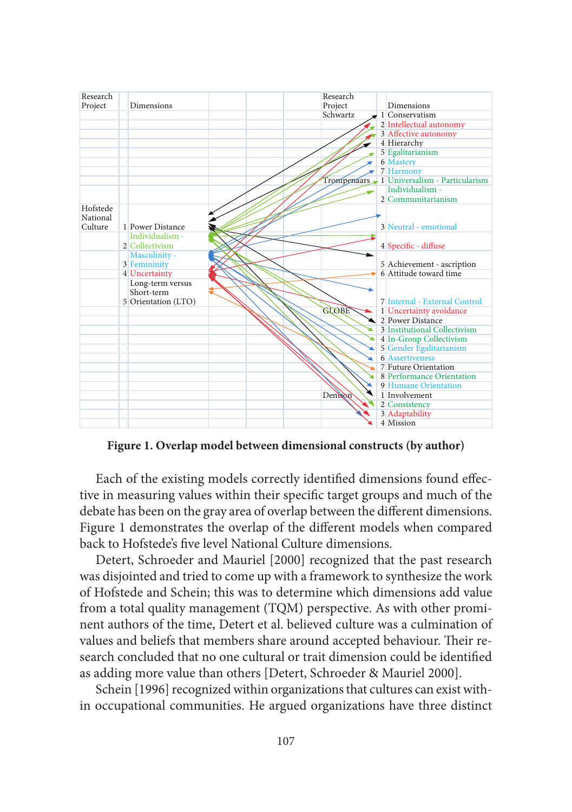

**Figure 1. Overlap model between dimensional constructs (by author)**

Each of the existing models correctly identified dimensions found effective in measuring values within their specific target groups and much of the debate has been on the gray area of overlap between the different dimensions. Figure 1 demonstrates the overlap of the different models when compared back to Hofstede's five level National Culture dimensions.

Detert, Schroeder and Mauriel [2000] recognized that the past research was disjointed and tried to come up with a framework to synthesize the work of Hofstede and Schein; this was to determine which dimensions add value from a total quality management (TQM) perspective. As with other prominent authors of the time, Detert et al. believed culture was a culmination of values and beliefs that members share around accepted behaviour. Their research concluded that no one cultural or trait dimension could be identified as adding more value than others [Detert, Schroeder & Mauriel 2000].

Schein [1996] recognized within organizations that cultures can exist within occupational communities. He argued organizations have three distinct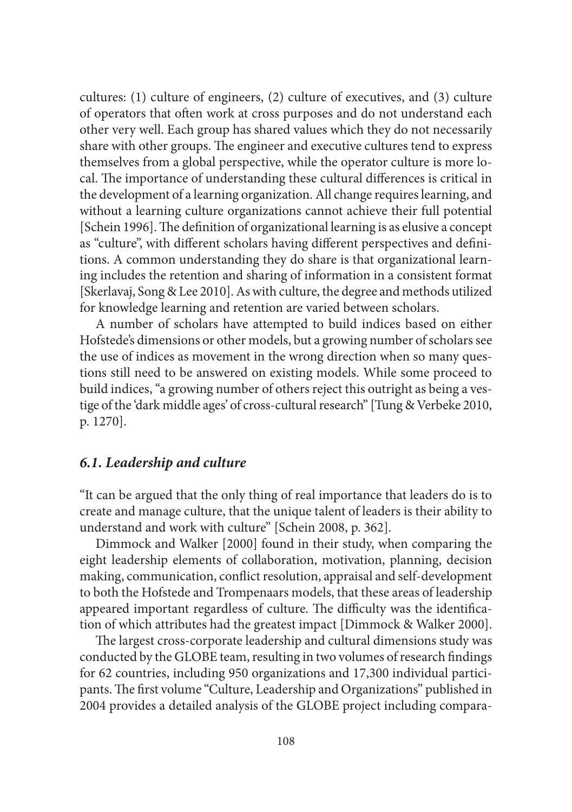cultures: (1) culture of engineers, (2) culture of executives, and (3) culture of operators that often work at cross purposes and do not understand each other very well. Each group has shared values which they do not necessarily share with other groups. The engineer and executive cultures tend to express themselves from a global perspective, while the operator culture is more local. The importance of understanding these cultural differences is critical in the development of a learning organization. All change requires learning, and without a learning culture organizations cannot achieve their full potential [Schein 1996]. The definition of organizational learning is as elusive a concept as "culture", with different scholars having different perspectives and definitions. A common understanding they do share is that organizational learning includes the retention and sharing of information in a consistent format [Skerlavaj, Song & Lee 2010]. As with culture, the degree and methods utilized for knowledge learning and retention are varied between scholars.

A number of scholars have attempted to build indices based on either Hofstede's dimensions or other models, but a growing number of scholars see the use of indices as movement in the wrong direction when so many questions still need to be answered on existing models. While some proceed to build indices, "a growing number of others reject this outright as being a vestige of the 'dark middle ages' of cross-cultural research" [Tung & Verbeke 2010, p. 1270].

## *6.1. Leadership and culture*

"It can be argued that the only thing of real importance that leaders do is to create and manage culture, that the unique talent of leaders is their ability to understand and work with culture" [Schein 2008, p. 362].

Dimmock and Walker [2000] found in their study, when comparing the eight leadership elements of collaboration, motivation, planning, decision making, communication, conflict resolution, appraisal and self-development to both the Hofstede and Trompenaars models, that these areas of leadership appeared important regardless of culture. The difficulty was the identification of which attributes had the greatest impact [Dimmock & Walker 2000].

The largest cross-corporate leadership and cultural dimensions study was conducted by the GLOBE team, resulting in two volumes of research findings for 62 countries, including 950 organizations and 17,300 individual participants. The first volume "Culture, Leadership and Organizations" published in 2004 provides a detailed analysis of the GLOBE project including compara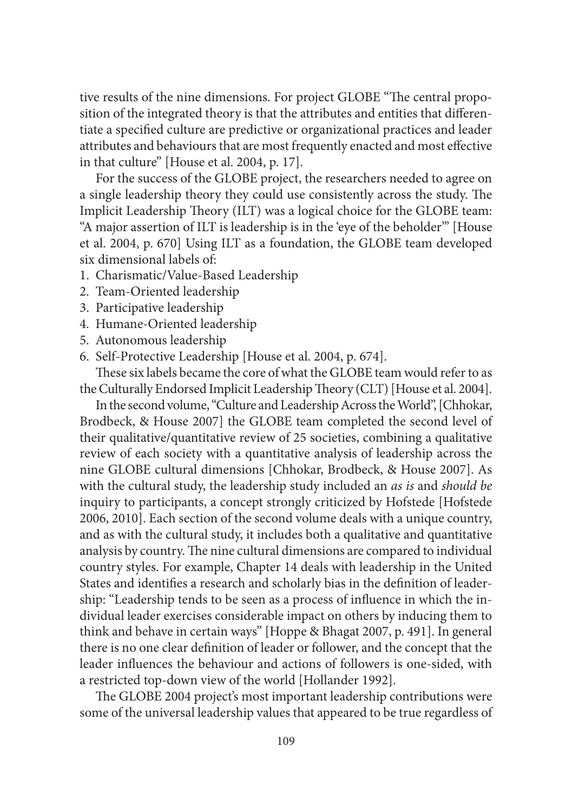tive results of the nine dimensions. For project GLOBE "The central proposition of the integrated theory is that the attributes and entities that differentiate a specified culture are predictive or organizational practices and leader attributes and behaviours that are most frequently enacted and most effective in that culture" [House et al. 2004, p. 17].

For the success of the GLOBE project, the researchers needed to agree on a single leadership theory they could use consistently across the study. The Implicit Leadership Theory (ILT) was a logical choice for the GLOBE team: "A major assertion of ILT is leadership is in the 'eye of the beholder'" [House et al. 2004, p. 670] Using ILT as a foundation, the GLOBE team developed six dimensional labels of:

- 1. Charismatic/Value-Based Leadership
- 2. Team-Oriented leadership
- 3. Participative leadership
- 4. Humane-Oriented leadership
- 5. Autonomous leadership
- 6. Self-Protective Leadership [House et al. 2004, p. 674].

These six labels became the core of what the GLOBE team would refer to as the Culturally Endorsed Implicit Leadership Theory (CLT) [House et al. 2004].

In the second volume, "Culture and Leadership Across the World", [Chhokar, Brodbeck, & House 2007] the GLOBE team completed the second level of their qualitative/quantitative review of 25 societies, combining a qualitative review of each society with a quantitative analysis of leadership across the nine GLOBE cultural dimensions [Chhokar, Brodbeck, & House 2007]. As with the cultural study, the leadership study included an *as is* and *should be* inquiry to participants, a concept strongly criticized by Hofstede [Hofstede 2006, 2010]. Each section of the second volume deals with a unique country, and as with the cultural study, it includes both a qualitative and quantitative analysis by country. The nine cultural dimensions are compared to individual country styles. For example, Chapter 14 deals with leadership in the United States and identifies a research and scholarly bias in the definition of leadership: "Leadership tends to be seen as a process of influence in which the individual leader exercises considerable impact on others by inducing them to think and behave in certain ways" [Hoppe & Bhagat 2007, p. 491]. In general there is no one clear definition of leader or follower, and the concept that the leader influences the behaviour and actions of followers is one-sided, with a restricted top-down view of the world [Hollander 1992].

The GLOBE 2004 project's most important leadership contributions were some of the universal leadership values that appeared to be true regardless of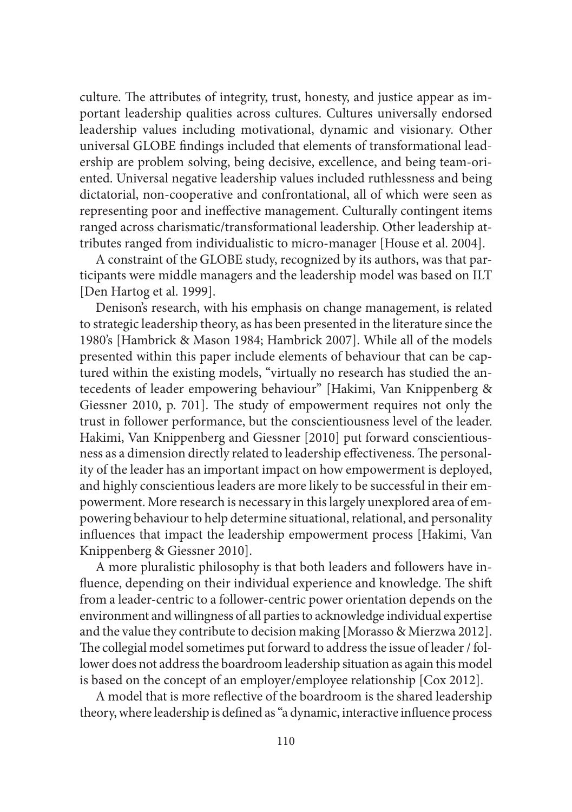culture. The attributes of integrity, trust, honesty, and justice appear as important leadership qualities across cultures. Cultures universally endorsed leadership values including motivational, dynamic and visionary. Other universal GLOBE findings included that elements of transformational leadership are problem solving, being decisive, excellence, and being team-oriented. Universal negative leadership values included ruthlessness and being dictatorial, non-cooperative and confrontational, all of which were seen as representing poor and ineffective management. Culturally contingent items ranged across charismatic/transformational leadership. Other leadership attributes ranged from individualistic to micro-manager [House et al. 2004].

A constraint of the GLOBE study, recognized by its authors, was that participants were middle managers and the leadership model was based on ILT [Den Hartog et al. 1999].

Denison's research, with his emphasis on change management, is related to strategic leadership theory, as has been presented in the literature since the 1980's [Hambrick & Mason 1984; Hambrick 2007]. While all of the models presented within this paper include elements of behaviour that can be captured within the existing models, "virtually no research has studied the antecedents of leader empowering behaviour" [Hakimi, Van Knippenberg & Giessner 2010, p. 701]. The study of empowerment requires not only the trust in follower performance, but the conscientiousness level of the leader. Hakimi, Van Knippenberg and Giessner [2010] put forward conscientiousness as a dimension directly related to leadership effectiveness. The personality of the leader has an important impact on how empowerment is deployed, and highly conscientious leaders are more likely to be successful in their empowerment. More research is necessary in this largely unexplored area of empowering behaviour to help determine situational, relational, and personality influences that impact the leadership empowerment process [Hakimi, Van Knippenberg & Giessner 2010].

A more pluralistic philosophy is that both leaders and followers have influence, depending on their individual experience and knowledge. The shift from a leader-centric to a follower-centric power orientation depends on the environment and willingness of all parties to acknowledge individual expertise and the value they contribute to decision making [Morasso & Mierzwa 2012]. The collegial model sometimes put forward to address the issue of leader / follower does not address the boardroom leadership situation as again this model is based on the concept of an employer/employee relationship [Cox 2012].

A model that is more reflective of the boardroom is the shared leadership theory, where leadership is defined as "a dynamic, interactive influence process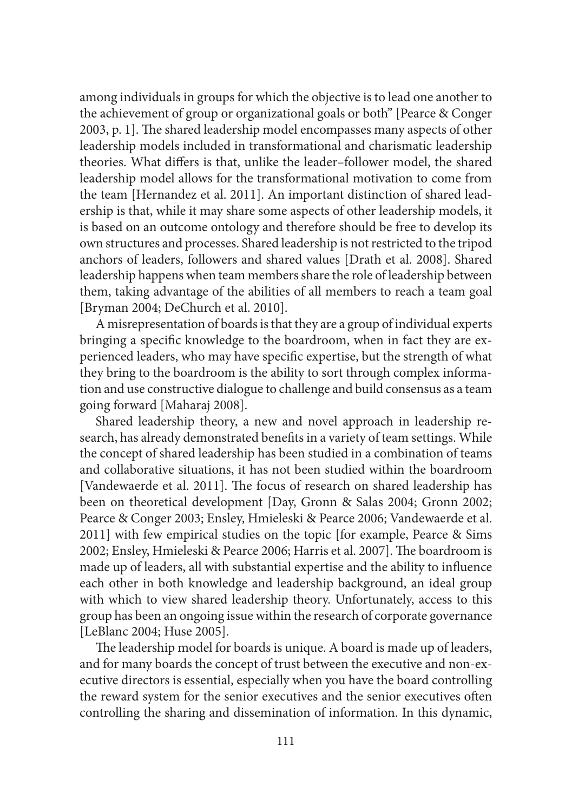among individuals in groups for which the objective is to lead one another to the achievement of group or organizational goals or both" [Pearce & Conger 2003, p. 1]. The shared leadership model encompasses many aspects of other leadership models included in transformational and charismatic leadership theories. What differs is that, unlike the leader-follower model, the shared leadership model allows for the transformational motivation to come from the team [Hernandez et al. 2011]. An important distinction of shared leadership is that, while it may share some aspects of other leadership models, it is based on an outcome ontology and therefore should be free to develop its own structures and processes. Shared leadership is not restricted to the tripod anchors of leaders, followers and shared values [Drath et al. 2008]. Shared leadership happens when team members share the role of leadership between them, taking advantage of the abilities of all members to reach a team goal [Bryman 2004; DeChurch et al. 2010].

A misrepresentation of boards is that they are a group of individual experts bringing a specific knowledge to the boardroom, when in fact they are experienced leaders, who may have specific expertise, but the strength of what they bring to the boardroom is the ability to sort through complex information and use constructive dialogue to challenge and build consensus as a team going forward [Maharaj 2008].

Shared leadership theory, a new and novel approach in leadership research, has already demonstrated benefits in a variety of team settings. While the concept of shared leadership has been studied in a combination of teams and collaborative situations, it has not been studied within the boardroom [Vandewaerde et al. 2011]. The focus of research on shared leadership has been on theoretical development [Day, Gronn & Salas 2004; Gronn 2002; Pearce & Conger 2003; Ensley, Hmieleski & Pearce 2006; Vandewaerde et al. 2011] with few empirical studies on the topic [for example, Pearce & Sims 2002; Ensley, Hmieleski & Pearce 2006; Harris et al. 2007]. The boardroom is made up of leaders, all with substantial expertise and the ability to influence each other in both knowledge and leadership background, an ideal group with which to view shared leadership theory. Unfortunately, access to this group has been an ongoing issue within the research of corporate governance [LeBlanc 2004; Huse 2005].

The leadership model for boards is unique. A board is made up of leaders, and for many boards the concept of trust between the executive and non-executive directors is essential, especially when you have the board controlling the reward system for the senior executives and the senior executives often controlling the sharing and dissemination of information. In this dynamic,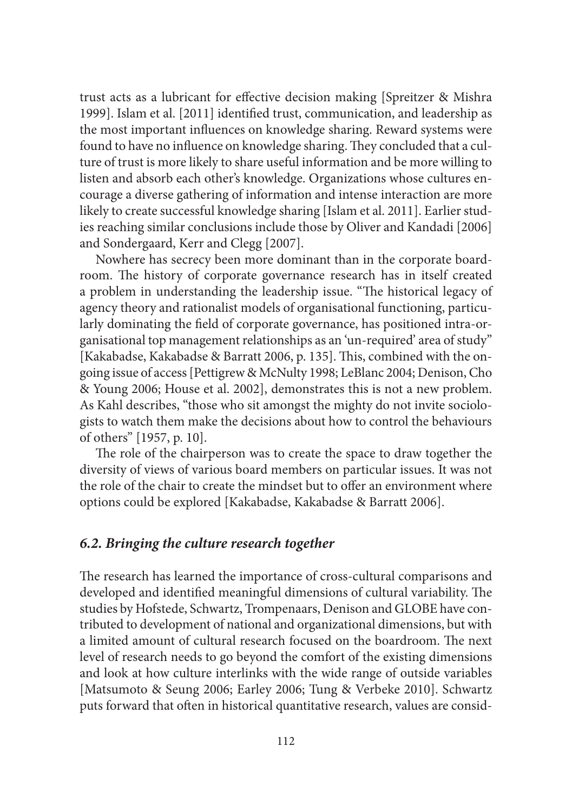trust acts as a lubricant for effective decision making [Spreitzer & Mishra] 1999]. Islam et al. [2011] identified trust, communication, and leadership as the most important influences on knowledge sharing. Reward systems were found to have no influence on knowledge sharing. They concluded that a culture of trust is more likely to share useful information and be more willing to listen and absorb each other's knowledge. Organizations whose cultures encourage a diverse gathering of information and intense interaction are more likely to create successful knowledge sharing [Islam et al. 2011]. Earlier studies reaching similar conclusions include those by Oliver and Kandadi [2006] and Sondergaard, Kerr and Clegg [2007].

Nowhere has secrecy been more dominant than in the corporate boardroom. The history of corporate governance research has in itself created a problem in understanding the leadership issue. "The historical legacy of agency theory and rationalist models of organisational functioning, particularly dominating the field of corporate governance, has positioned intra-organisational top management relationships as an 'un-required' area of study" [Kakabadse, Kakabadse & Barratt 2006, p. 135]. This, combined with the ongoing issue of access [Pettigrew & McNulty 1998; LeBlanc 2004; Denison, Cho & Young 2006; House et al. 2002], demonstrates this is not a new problem. As Kahl describes, "those who sit amongst the mighty do not invite sociologists to watch them make the decisions about how to control the behaviours of others" [1957, p. 10].

The role of the chairperson was to create the space to draw together the diversity of views of various board members on particular issues. It was not the role of the chair to create the mindset but to offer an environment where options could be explored [Kakabadse, Kakabadse & Barratt 2006].

#### *6.2. Bringing the culture research together*

The research has learned the importance of cross-cultural comparisons and developed and identified meaningful dimensions of cultural variability. The studies by Hofstede, Schwartz, Trompenaars, Denison and GLOBE have contributed to development of national and organizational dimensions, but with a limited amount of cultural research focused on the boardroom. The next level of research needs to go beyond the comfort of the existing dimensions and look at how culture interlinks with the wide range of outside variables [Matsumoto & Seung 2006; Earley 2006; Tung & Verbeke 2010]. Schwartz puts forward that often in historical quantitative research, values are consid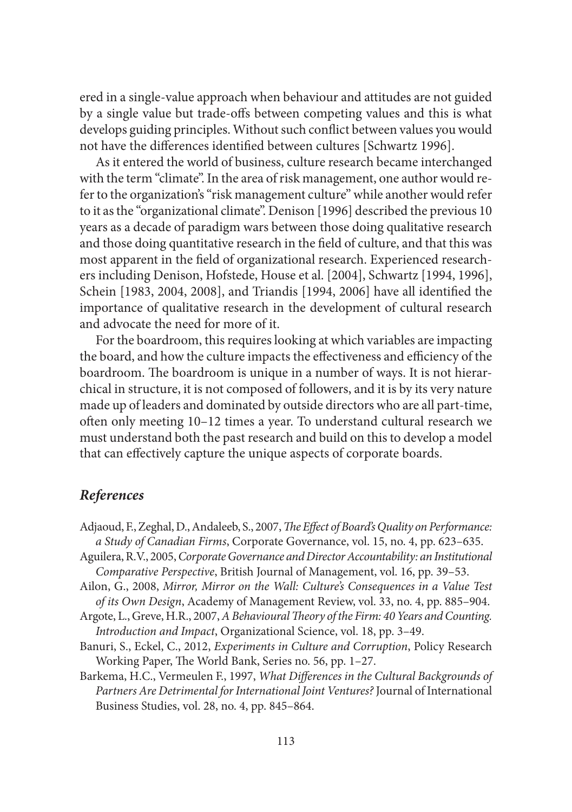ered in a single-value approach when behaviour and attitudes are not guided by a single value but trade-offs between competing values and this is what develops guiding principles. Without such conflict between values you would not have the differences identified between cultures [Schwartz 1996].

As it entered the world of business, culture research became interchanged with the term "climate". In the area of risk management, one author would refer to the organization's "risk management culture" while another would refer to it as the "organizational climate". Denison [1996] described the previous 10 years as a decade of paradigm wars between those doing qualitative research and those doing quantitative research in the field of culture, and that this was most apparent in the field of organizational research. Experienced researchers including Denison, Hofstede, House et al. [2004], Schwartz [1994, 1996], Schein [1983, 2004, 2008], and Triandis [1994, 2006] have all identified the importance of qualitative research in the development of cultural research and advocate the need for more of it.

For the boardroom, this requires looking at which variables are impacting the board, and how the culture impacts the effectiveness and efficiency of the boardroom. The boardroom is unique in a number of ways. It is not hierarchical in structure, it is not composed of followers, and it is by its very nature made up of leaders and dominated by outside directors who are all part-time, often only meeting 10-12 times a year. To understand cultural research we must understand both the past research and build on this to develop a model that can effectively capture the unique aspects of corporate boards.

## *References*

- Adjaoud, F., Zeghal, D., Andaleeb, S., 2007, *The Effect of Board's Quality on Performance*: *a Study of Canadian Firms*, Corporate Governance, vol. 15, no. 4, pp. 623–635.
- Aguilera, R.V., 2005, *Corporate Governance and Director Accountability: an Institutional Comparative Perspective*, British Journal of Management, vol. 16, pp. 39–53.
- Ailon, G., 2008, *Mirror, Mirror on the Wall: Culture's Consequences in a Value Test of its Own Design*, Academy of Management Review, vol. 33, no. 4, pp. 885–904.
- Argote, L., Greve, H.R., 2007, *A Behavioural Theory of the Firm: 40 Years and Counting. Introduction and Impact*, Organizational Science, vol. 18, pp. 3–49.
- Banuri, S., Eckel, C., 2012, *Experiments in Culture and Corruption*, Policy Research Working Paper, The World Bank, Series no. 56, pp. 1-27.
- Barkema, H.C., Vermeulen F., 1997, *What Differences in the Cultural Backgrounds of Partners Are Detrimental for International Joint Ventures?* Journal of International Business Studies, vol. 28, no. 4, pp. 845–864.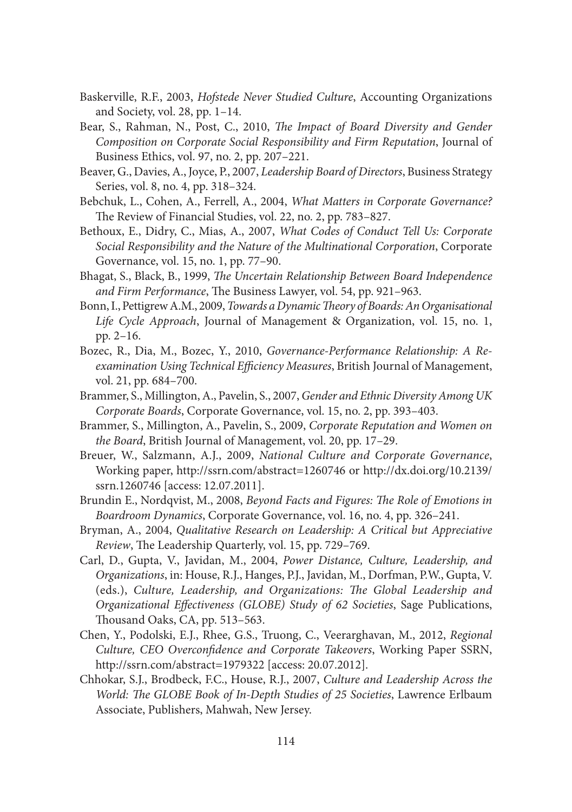- Baskerville, R.F., 2003, *Hofstede Never Studied Culture*, Accounting Organizations and Society, vol. 28, pp. 1–14.
- Bear, S., Rahman, N., Post, C., 2010, *The Impact of Board Diversity and Gender Composition on Corporate Social Responsibility and Firm Reputation*, Journal of Business Ethics, vol. 97, no. 2, pp. 207–221.
- Beaver, G., Davies, A., Joyce, P., 2007, *Leadership Board of Directors*, Business Strategy Series, vol. 8, no. 4, pp. 318–324.
- Bebchuk, L., Cohen, A., Ferrell, A., 2004, *What Matters in Corporate Governance?*  The Review of Financial Studies, vol. 22, no. 2, pp. 783-827.
- Bethoux, E., Didry, C., Mias, A., 2007, *What Codes of Conduct Tell Us: Corporate Social Responsibility and the Nature of the Multinational Corporation*, Corporate Governance, vol. 15, no. 1, pp. 77–90.
- Bhagat, S., Black, B., 1999, *The Uncertain Relationship Between Board Independence* and Firm Performance, The Business Lawyer, vol. 54, pp. 921-963.
- Bonn, I., Pettigrew A.M., 2009, *Towards a Dynamic Theory of Boards: An Organisational Life Cycle Approach*, Journal of Management & Organization, vol. 15, no. 1, pp. 2–16.
- Bozec, R., Dia, M., Bozec, Y., 2010, *Governance-Performance Relationship: A Reexamination Using Technical Efficiency Measures*, British Journal of Management, vol. 21, pp. 684–700.
- Brammer, S., Millington, A., Pavelin, S., 2007, *Gender and Ethnic Diversity Among UK Corporate Boards*, Corporate Governance, vol. 15, no. 2, pp. 393–403.
- Brammer, S., Millington, A., Pavelin, S., 2009, *Corporate Reputation and Women on the Board*, British Journal of Management, vol. 20, pp. 17–29.
- Breuer, W., Salzmann, A.J., 2009, *National Culture and Corporate Governance*, Working paper, http://ssrn.com/abstract=1260746 or http://dx.doi.org/10.2139/ ssrn.1260746 [access: 12.07.2011].
- Brundin E., Nordqvist, M., 2008, *Beyond Facts and Figures: The Role of Emotions in Boardroom Dynamics*, Corporate Governance, vol. 16, no. 4, pp. 326–241.
- Bryman, A., 2004, *Qualitative Research on Leadership: A Critical but Appreciative Review*, The Leadership Quarterly, vol. 15, pp. 729-769.
- Carl, D., Gupta, V., Javidan, M., 2004, *Power Distance, Culture, Leadership, and Organizations*, in: House, R.J., Hanges, P.J., Javidan, M., Dorfman, P.W., Gupta, V. (eds.), Culture, Leadership, and Organizations: The Global Leadership and *Organizational Effectiveness (GLOBE) Study of 62 Societies*, Sage Publications, Thousand Oaks, CA, pp. 513-563.
- Chen, Y., Podolski, E.J., Rhee, G.S., Truong, C., Veerarghavan, M., 2012, *Regional Culture, CEO Overconfidence and Corporate Takeovers, Working Paper SSRN,* http://ssrn.com/abstract=1979322 [access: 20.07.2012].
- Chhokar, S.J., Brodbeck, F.C., House, R.J., 2007, *Culture and Leadership Across the World: The GLOBE Book of In-Depth Studies of 25 Societies, Lawrence Erlbaum* Associate, Publishers, Mahwah, New Jersey.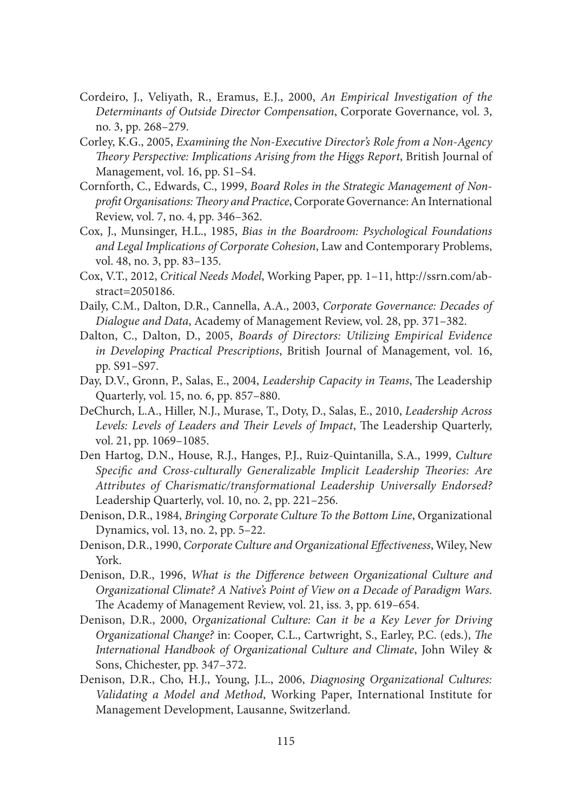- Cordeiro, J., Veliyath, R., Eramus, E.J., 2000, *An Empirical Investigation of the Determinants of Outside Director Compensation*, Corporate Governance, vol. 3, no. 3, pp. 268–279.
- Corley, K.G., 2005, *Examining the Non-Executive Director's Role from a Non-Agency Th eory Perspective: Implications Arising from the Higgs Report*, British Journal of Management, vol. 16, pp. S1–S4.
- Cornforth, C., Edwards, C., 1999, *Board Roles in the Strategic Management of Non*profit Organisations: Theory and Practice, Corporate Governance: An International Review, vol. 7, no. 4, pp. 346–362.
- Cox, J., Munsinger, H.L., 1985, *Bias in the Boardroom: Psychological Foundations and Legal Implications of Corporate Cohesion*, Law and Contemporary Problems, vol. 48, no. 3, pp. 83–135.
- Cox, V.T., 2012, *Critical Needs Model*, Working Paper, pp. 1–11, http://ssrn.com/abstract=2050186.
- Daily, C.M., Dalton, D.R., Cannella, A.A., 2003, *Corporate Governance: Decades of Dialogue and Data*, Academy of Management Review, vol. 28, pp. 371–382.
- Dalton, C., Dalton, D., 2005, *Boards of Directors: Utilizing Empirical Evidence in Developing Practical Prescriptions*, British Journal of Management, vol. 16, pp. S91–S97.
- Day, D.V., Gronn, P., Salas, E., 2004, *Leadership Capacity in Teams*, The Leadership Quarterly, vol. 15, no. 6, pp. 857–880.
- DeChurch, L.A., Hiller, N.J., Murase, T., Doty, D., Salas, E., 2010, *Leadership Across*  Levels: Levels of Leaders and Their Levels of Impact, The Leadership Quarterly, vol. 21, pp. 1069–1085.
- Den Hartog, D.N., House, R.J., Hanges, P.J., Ruiz-Quintanilla, S.A., 1999, *Culture*  Specific and Cross-culturally Generalizable Implicit Leadership Theories: Are *Attributes of Charismatic/transformational Leadership Universally Endorsed?*  Leadership Quarterly, vol. 10, no. 2, pp. 221–256.
- Denison, D.R., 1984, *Bringing Corporate Culture To the Bottom Line*, Organizational Dynamics, vol. 13, no. 2, pp. 5–22.
- Denison, D.R., 1990, *Corporate Culture and Organizational Effectiveness*, Wiley, New York.
- Denison, D.R., 1996, *What is the Difference between Organizational Culture and Organizational Climate? A Native's Point of View on a Decade of Paradigm Wars*. The Academy of Management Review, vol. 21, iss. 3, pp. 619–654.
- Denison, D.R., 2000, *Organizational Culture: Can it be a Key Lever for Driving Organizational Change?* in: Cooper, C.L., Cartwright, S., Earley, P.C. (eds.), *The International Handbook of Organizational Culture and Climate*, John Wiley & Sons, Chichester, pp. 347–372.
- Denison, D.R., Cho, H.J., Young, J.L., 2006, *Diagnosing Organizational Cultures: Validating a Model and Method*, Working Paper, International Institute for Management Development, Lausanne, Switzerland.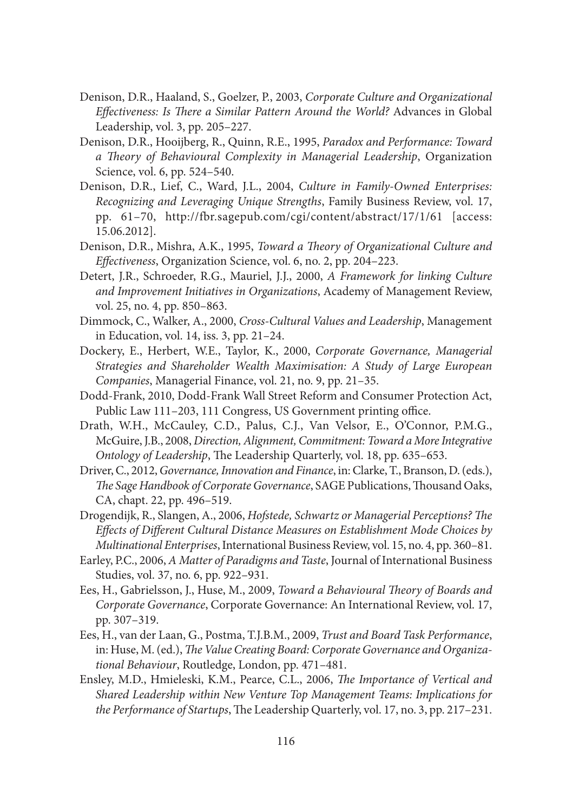- Denison, D.R., Haaland, S., Goelzer, P., 2003, *Corporate Culture and Organizational Effectiveness: Is There a Similar Pattern Around the World? Advances in Global* Leadership, vol. 3, pp. 205–227.
- Denison, D.R., Hooijberg, R., Quinn, R.E., 1995, *Paradox and Performance: Toward a Th eory of Behavioural Complexity in Managerial Leadership*, Organization Science, vol. 6, pp. 524–540.
- Denison, D.R., Lief, C., Ward, J.L., 2004, *Culture in Family-Owned Enterprises: Recognizing and Leveraging Unique Strengths*, Family Business Review, vol. 17, pp. 61–70, http://fbr.sagepub.com/cgi/content/abstract/17/1/61 [access: 15.06.2012].
- Denison, D.R., Mishra, A.K., 1995, *Toward a Theory of Organizational Culture and Eff ectiveness*, Organization Science, vol. 6, no. 2, pp. 204–223.
- Detert, J.R., Schroeder, R.G., Mauriel, J.J., 2000, *A Framework for linking Culture and Improvement Initiatives in Organizations*, Academy of Management Review, vol. 25, no. 4, pp. 850–863.
- Dimmock, C., Walker, A., 2000, *Cross-Cultural Values and Leadership*, Management in Education, vol. 14, iss. 3, pp. 21–24.
- Dockery, E., Herbert, W.E., Taylor, K., 2000, *Corporate Governance, Managerial Strategies and Shareholder Wealth Maximisation: A Study of Large European Companies*, Managerial Finance, vol. 21, no. 9, pp. 21–35.
- Dodd-Frank, 2010, Dodd-Frank Wall Street Reform and Consumer Protection Act, Public Law 111–203, 111 Congress, US Government printing office.
- Drath, W.H., McCauley, C.D., Palus, C.J., Van Velsor, E., O'Connor, P.M.G., McGuire, J.B., 2008, *Direction, Alignment, Commitment: Toward a More Integrative Ontology of Leadership*, The Leadership Quarterly, vol. 18, pp. 635–653.
- Driver, C., 2012, *Governance, Innovation and Finance*, in: Clarke, T., Branson, D. (eds.), The Sage Handbook of Corporate Governance, SAGE Publications, Thousand Oaks, CA, chapt. 22, pp. 496–519.
- Drogendijk, R., Slangen, A., 2006, *Hofstede, Schwartz or Managerial Perceptions? The* Effects of Different Cultural Distance Measures on Establishment Mode Choices by *Multinational Enterprises*, International Business Review, vol. 15, no. 4, pp. 360–81.
- Earley, P.C., 2006, *A Matter of Paradigms and Taste*, Journal of International Business Studies, vol. 37, no. 6, pp. 922–931.
- Ees, H., Gabrielsson, J., Huse, M., 2009, *Toward a Behavioural Theory of Boards and Corporate Governance*, Corporate Governance: An International Review, vol. 17, pp. 307–319.
- Ees, H., van der Laan, G., Postma, T.J.B.M., 2009, *Trust and Board Task Performance*, in: Huse, M. (ed.), *The Value Creating Board: Corporate Governance and Organizational Behaviour*, Routledge, London, pp. 471–481.
- Ensley, M.D., Hmieleski, K.M., Pearce, C.L., 2006, *The Importance of Vertical and Shared Leadership within New Venture Top Management Teams: Implications for the Performance of Startups*, The Leadership Quarterly, vol. 17, no. 3, pp. 217-231.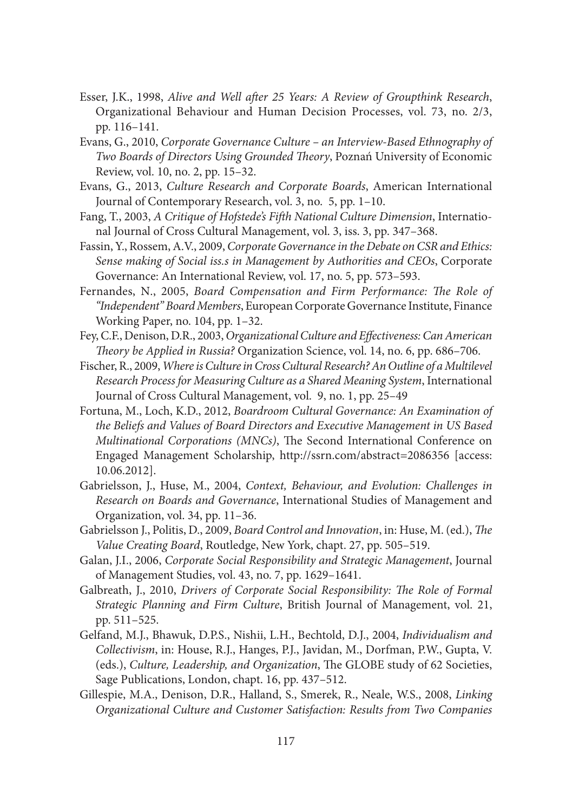- Esser, J.K., 1998, *Alive and Well after 25 Years: A Review of Groupthink Research*, Organizational Behaviour and Human Decision Processes, vol. 73, no. 2/3, pp. 116–141.
- Evans, G., 2010, *Corporate Governance Culture an Interview-Based Ethnography of*  **Two Boards of Directors Using Grounded Theory, Poznań University of Economic** Review, vol. 10, no. 2, pp. 15–32.
- Evans, G., 2013, *Culture Research and Corporate Boards*, American International Journal of Contemporary Research, vol. 3, no. 5, pp. 1–10.
- Fang, T., 2003, *A Critique of Hofstede's Fifth National Culture Dimension*, International Journal of Cross Cultural Management, vol. 3, iss. 3, pp. 347–368.
- Fassin, Y., Rossem, A.V., 2009, *Corporate Governance in the Debate on CSR and Ethics: Sense making of Social iss.s in Management by Authorities and CEOs*, Corporate Governance: An International Review, vol. 17, no. 5, pp. 573–593.
- Fernandes, N., 2005, *Board Compensation and Firm Performance: The Role of "Independent" Board Members*, European Corporate Governance Institute, Finance Working Paper, no. 104, pp. 1–32.
- Fey, C.F., Denison, D.R., 2003, *Organizational Culture and Effectiveness: Can American Th eory be Applied in Russia?* Organization Science, vol. 14, no. 6, pp. 686–706.
- Fischer, R., 2009, *Where is Culture in Cross Cultural Research? An Outline of a Multilevel Research Process for Measuring Culture as a Shared Meaning System*, International Journal of Cross Cultural Management, vol. 9, no. 1, pp. 25–49
- Fortuna, M., Loch, K.D., 2012, *Boardroom Cultural Governance: An Examination of the Beliefs and Values of Board Directors and Executive Management in US Based Multinational Corporations (MNCs)*, The Second International Conference on Engaged Management Scholarship, http://ssrn.com/abstract=2086356 [access: 10.06.2012].
- Gabrielsson, J., Huse, M., 2004, *Context, Behaviour, and Evolution: Challenges in Research on Boards and Governance*, International Studies of Management and Organization, vol. 34, pp. 11–36.
- Gabrielsson J., Politis, D., 2009, *Board Control and Innovation*, in: Huse, M. (ed.), *The Value Creating Board*, Routledge, New York, chapt. 27, pp. 505–519.
- Galan, J.I., 2006, *Corporate Social Responsibility and Strategic Management*, Journal of Management Studies, vol. 43, no. 7, pp. 1629–1641.
- Galbreath, J., 2010, *Drivers of Corporate Social Responsibility: The Role of Formal Strategic Planning and Firm Culture*, British Journal of Management, vol. 21, pp. 511–525.
- Gelfand, M.J., Bhawuk, D.P.S., Nishii, L.H., Bechtold, D.J., 2004, *Individualism and Collectivism*, in: House, R.J., Hanges, P.J., Javidan, M., Dorfman, P.W., Gupta, V. (eds.), *Culture, Leadership, and Organization*, The GLOBE study of 62 Societies, Sage Publications, London, chapt. 16, pp. 437–512.
- Gillespie, M.A., Denison, D.R., Halland, S., Smerek, R., Neale, W.S., 2008, *Linking Organizational Culture and Customer Satisfaction: Results from Two Companies*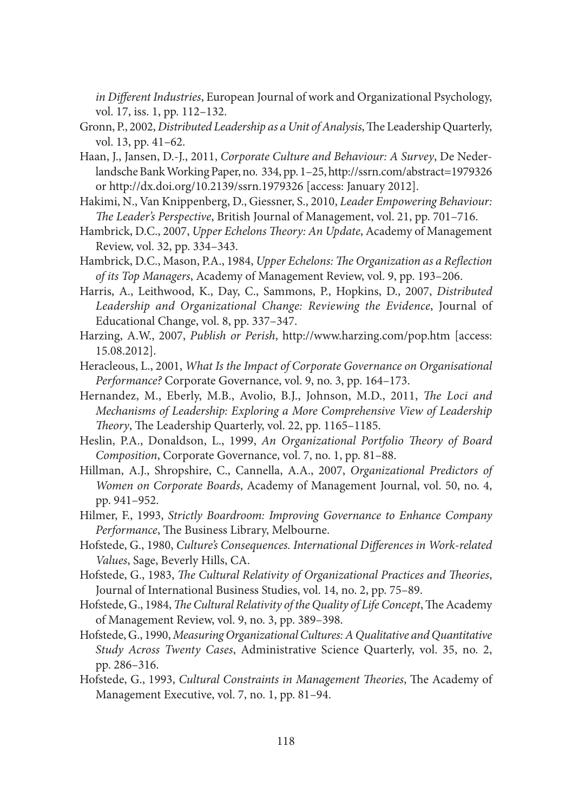*in Different Industries*, European Journal of work and Organizational Psychology, vol. 17, iss. 1, pp. 112–132.

- Gronn, P., 2002, *Distributed Leadership as a Unit of Analysis*, The Leadership Quarterly, vol. 13, pp. 41–62.
- Haan, J., Jansen, D.-J., 2011, *Corporate Culture and Behaviour: A Survey*, De Nederlandsche Bank Working Paper, no. 334, pp. 1–25, http://ssrn.com/abstract=1979326 or http://dx.doi.org/10.2139/ssrn.1979326 [access: January 2012].
- Hakimi, N., Van Knippenberg, D., Giessner, S., 2010, *Leader Empowering Behaviour: The Leader's Perspective*, British Journal of Management, vol. 21, pp. 701–716.
- Hambrick, D.C., 2007, *Upper Echelons Theory: An Update*, Academy of Management Review, vol. 32, pp. 334–343.
- Hambrick, D.C., Mason, P.A., 1984, *Upper Echelons: The Organization as a Reflection of its Top Managers*, Academy of Management Review, vol. 9, pp. 193–206.
- Harris, A., Leithwood, K., Day, C., Sammons, P., Hopkins, D., 2007, *Distributed Leadership and Organizational Change: Reviewing the Evidence*, Journal of Educational Change, vol. 8, pp. 337–347.
- Harzing, A.W., 2007, *Publish or Perish*, http://www.harzing.com/pop.htm [access: 15.08.2012].
- Heracleous, L., 2001, *What Is the Impact of Corporate Governance on Organisational Performance?* Corporate Governance, vol. 9, no. 3, pp. 164–173.
- Hernandez, M., Eberly, M.B., Avolio, B.J., Johnson, M.D., 2011, *The Loci and Mechanisms of Leadership: Exploring a More Comprehensive View of Leadership Theory*, The Leadership Quarterly, vol. 22, pp. 1165-1185.
- Heslin, P.A., Donaldson, L., 1999, *An Organizational Portfolio Theory of Board Composition*, Corporate Governance, vol. 7, no. 1, pp. 81–88.
- Hillman, A.J., Shropshire, C., Cannella, A.A., 2007, *Organizational Predictors of Women on Corporate Boards*, Academy of Management Journal, vol. 50, no. 4, pp. 941–952.
- Hilmer, F., 1993, *Strictly Boardroom: Improving Governance to Enhance Company Performance*, The Business Library, Melbourne.
- Hofstede, G., 1980, *Culture's Consequences. International Differences in Work-related Values*, Sage, Beverly Hills, CA.
- Hofstede, G., 1983, *The Cultural Relativity of Organizational Practices and Theories*, Journal of International Business Studies, vol. 14, no. 2, pp. 75–89.
- Hofstede, G., 1984, *The Cultural Relativity of the Quality of Life Concept*, The Academy of Management Review, vol. 9, no. 3, pp. 389–398.
- Hofstede, G., 1990, *Measuring Organizational Cultures: A Qualitative and Quantitative Study Across Twenty Cases*, Administrative Science Quarterly, vol. 35, no. 2, pp. 286–316.
- Hofstede, G., 1993, *Cultural Constraints in Management Theories*, The Academy of Management Executive, vol. 7, no. 1, pp. 81–94.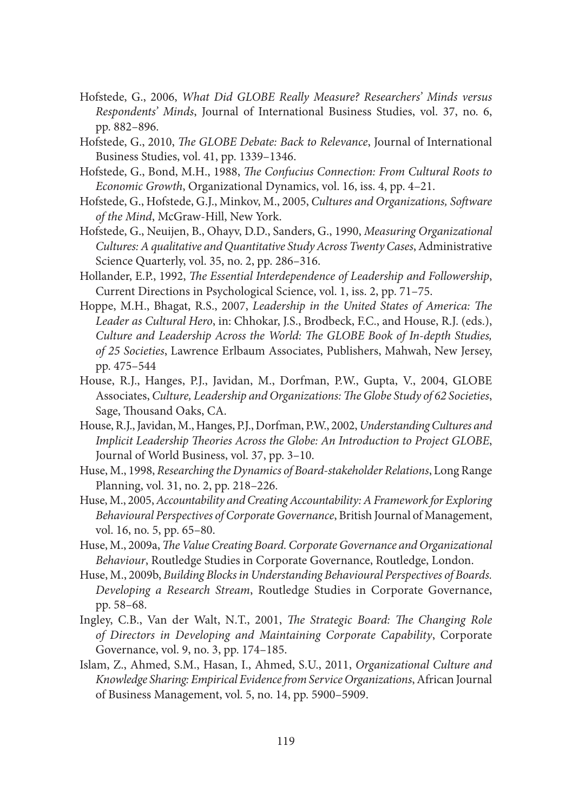- Hofstede, G., 2006, *What Did GLOBE Really Measure? Researchers' Minds versus Respondents' Minds*, Journal of International Business Studies, vol. 37, no. 6, pp. 882–896.
- Hofstede, G., 2010, *The GLOBE Debate: Back to Relevance*, Journal of International Business Studies, vol. 41, pp. 1339–1346.
- Hofstede, G., Bond, M.H., 1988, *The Confucius Connection: From Cultural Roots to Economic Growth*, Organizational Dynamics, vol. 16, iss. 4, pp. 4–21.
- Hofstede, G., Hofstede, G.J., Minkov, M., 2005, *Cultures and Organizations, Software of the Mind*, McGraw-Hill, New York.
- Hofstede, G., Neuijen, B., Ohayv, D.D., Sanders, G., 1990, *Measuring Organizational Cultures: A qualitative and Quantitative Study Across Twenty Cases*, Administrative Science Quarterly, vol. 35, no. 2, pp. 286–316.
- Hollander, E.P., 1992, *The Essential Interdependence of Leadership and Followership*, Current Directions in Psychological Science, vol. 1, iss. 2, pp. 71–75.
- Hoppe, M.H., Bhagat, R.S., 2007, *Leadership in the United States of America: The Leader as Cultural Hero*, in: Chhokar, J.S., Brodbeck, F.C., and House, R.J. (eds.), *Culture and Leadership Across the World: The GLOBE Book of In-depth Studies, of 25 Societies*, Lawrence Erlbaum Associates, Publishers, Mahwah, New Jersey, pp. 475–544
- House, R.J., Hanges, P.J., Javidan, M., Dorfman, P.W., Gupta, V., 2004, GLOBE Associates, *Culture*, *Leadership and Organizations: The Globe Study of 62 Societies*, Sage, Thousand Oaks, CA.
- House, R.J., Javidan, M., Hanges, P.J., Dorfman, P.W., 2002, *Understanding Cultures and Implicit Leadership Theories Across the Globe: An Introduction to Project GLOBE*, Journal of World Business, vol. 37, pp. 3–10.
- Huse, M., 1998, *Researching the Dynamics of Board-stakeholder Relations*, Long Range Planning, vol. 31, no. 2, pp. 218–226.
- Huse, M., 2005, *Accountability and Creating Accountability: A Framework for Exploring Behavioural Perspectives of Corporate Governance*, British Journal of Management, vol. 16, no. 5, pp. 65–80.
- Huse, M., 2009a, *The Value Creating Board. Corporate Governance and Organizational Behaviour*, Routledge Studies in Corporate Governance, Routledge, London.
- Huse, M., 2009b, *Building Blocks in Understanding Behavioural Perspectives of Boards. Developing a Research Stream*, Routledge Studies in Corporate Governance, pp. 58–68.
- Ingley, C.B., Van der Walt, N.T., 2001, *The Strategic Board: The Changing Role of Directors in Developing and Maintaining Corporate Capability*, Corporate Governance, vol. 9, no. 3, pp. 174–185.
- Islam, Z., Ahmed, S.M., Hasan, I., Ahmed, S.U., 2011, *Organizational Culture and Knowledge Sharing: Empirical Evidence from Service Organizations*, African Journal of Business Management, vol. 5, no. 14, pp. 5900–5909.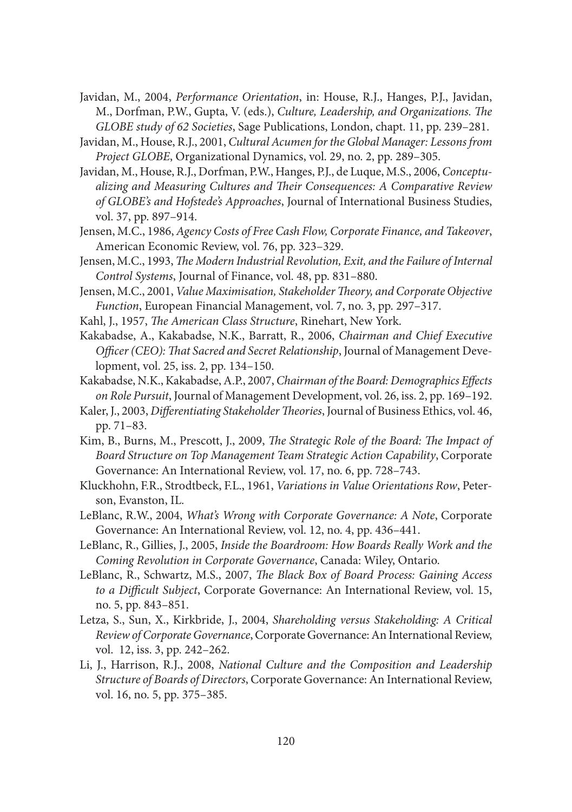- Javidan, M., 2004, *Performance Orientation*, in: House, R.J., Hanges, P.J., Javidan, M., Dorfman, P.W., Gupta, V. (eds.), *Culture, Leadership, and Organizations. The GLOBE study of 62 Societies*, Sage Publications, London, chapt. 11, pp. 239–281.
- Javidan, M., House, R.J., 2001, *Cultural Acumen for the Global Manager: Lessons from Project GLOBE*, Organizational Dynamics, vol. 29, no. 2, pp. 289–305.
- Javidan, M., House, R.J., Dorfman, P.W., Hanges, P.J., de Luque, M.S., 2006, *Conceptu*alizing and Measuring Cultures and Their Consequences: A Comparative Review *of GLOBE's and Hofstede's Approaches*, Journal of International Business Studies, vol. 37, pp. 897–914.
- Jensen, M.C., 1986, *Agency Costs of Free Cash Flow, Corporate Finance, and Takeover*, American Economic Review, vol. 76, pp. 323–329.
- Jensen, M.C., 1993, *The Modern Industrial Revolution, Exit, and the Failure of Internal Control Systems*, Journal of Finance, vol. 48, pp. 831–880.
- Jensen, M.C., 2001, *Value Maximisation*, *Stakeholder Theory, and Corporate Objective Function*, European Financial Management, vol. 7, no. 3, pp. 297–317.
- Kahl, J., 1957, *The American Class Structure*, Rinehart, New York.
- Kakabadse, A., Kakabadse, N.K., Barratt, R., 2006, *Chairman and Chief Executive Officer (CEO): That Sacred and Secret Relationship*, Journal of Management Development, vol. 25, iss. 2, pp. 134–150.
- Kakabadse, N.K., Kakabadse, A.P., 2007, *Chairman of the Board: Demographics Eff ects on Role Pursuit*, Journal of Management Development, vol. 26, iss. 2, pp. 169–192.
- Kaler, J., 2003, *Differentiating Stakeholder Theories*, Journal of Business Ethics, vol. 46, pp. 71–83.
- Kim, B., Burns, M., Prescott, J., 2009, *The Strategic Role of the Board: The Impact of Board Structure on Top Management Team Strategic Action Capability*, Corporate Governance: An International Review, vol. 17, no. 6, pp. 728–743.
- Kluckhohn, F.R., Strodtbeck, F.L., 1961, *Variations in Value Orientations Row*, Peterson, Evanston, IL.
- LeBlanc, R.W., 2004, *What's Wrong with Corporate Governance: A Note*, Corporate Governance: An International Review, vol. 12, no. 4, pp. 436–441.
- LeBlanc, R., Gillies, J., 2005, *Inside the Boardroom: How Boards Really Work and the Coming Revolution in Corporate Governance*, Canada: Wiley, Ontario.
- LeBlanc, R., Schwartz, M.S., 2007, *The Black Box of Board Process: Gaining Access* to a Difficult Subject, Corporate Governance: An International Review, vol. 15, no. 5, pp. 843–851.
- Letza, S., Sun, X., Kirkbride, J., 2004, *Shareholding versus Stakeholding: A Critical Review of Corporate Governance*, Corporate Governance: An International Review, vol. 12, iss. 3, pp. 242–262.
- Li, J., Harrison, R.J., 2008, *National Culture and the Composition and Leadership Structure of Boards of Directors*, Corporate Governance: An International Review, vol. 16, no. 5, pp. 375–385.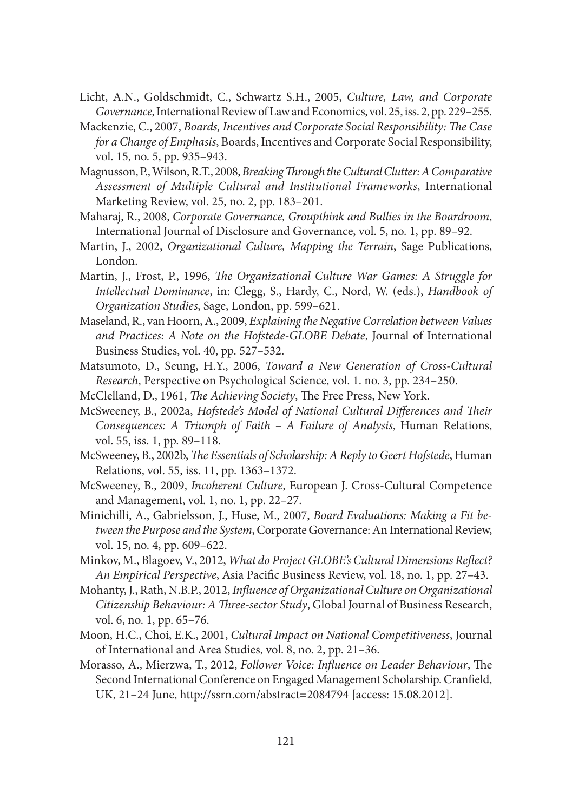- Licht, A.N., Goldschmidt, C., Schwartz S.H., 2005, *Culture, Law, and Corporate Governance*, International Review of Law and Economics, vol. 25, iss. 2, pp. 229–255.
- Mackenzie, C., 2007, *Boards, Incentives and Corporate Social Responsibility: The Case for a Change of Emphasis*, Boards, Incentives and Corporate Social Responsibility, vol. 15, no. 5, pp. 935–943.
- Magnusson, P., Wilson, R.T., 2008, *Breaking Through the Cultural Clutter: A Comparative Assessment of Multiple Cultural and Institutional Frameworks*, International Marketing Review, vol. 25, no. 2, pp. 183–201.
- Maharaj, R., 2008, *Corporate Governance, Groupthink and Bullies in the Boardroom*, International Journal of Disclosure and Governance, vol. 5, no. 1, pp. 89–92.
- Martin, J., 2002, *Organizational Culture, Mapping the Terrain*, Sage Publications, London.
- Martin, J., Frost, P., 1996, *The Organizational Culture War Games: A Struggle for Intellectual Dominance*, in: Clegg, S., Hardy, C., Nord, W. (eds.), *Handbook of Organization Studies*, Sage, London, pp. 599–621.
- Maseland, R., van Hoorn, A., 2009, *Explaining the Negative Correlation between Values and Practices: A Note on the Hofstede-GLOBE Debate*, Journal of International Business Studies, vol. 40, pp. 527–532.
- Matsumoto, D., Seung, H.Y., 2006, *Toward a New Generation of Cross-Cultural Research*, Perspective on Psychological Science, vol. 1. no. 3, pp. 234–250.
- McClelland, D., 1961, *The Achieving Society*, The Free Press, New York.
- McSweeney, B., 2002a, *Hofstede's Model of National Cultural Diff erences and Th eir Consequences: A Triumph of Faith – A Failure of Analysis*, Human Relations, vol. 55, iss. 1, pp. 89–118.
- McSweeney, B., 2002b, *The Essentials of Scholarship: A Reply to Geert Hofstede*, Human Relations, vol. 55, iss. 11, pp. 1363–1372.
- McSweeney, B., 2009, *Incoherent Culture*, European J. Cross-Cultural Competence and Management, vol. 1, no. 1, pp. 22–27.
- Minichilli, A., Gabrielsson, J., Huse, M., 2007, *Board Evaluations: Making a Fit between the Purpose and the System*, Corporate Governance: An International Review, vol. 15, no. 4, pp. 609–622.
- Minkov, M., Blagoev, V., 2012, *What do Project GLOBE's Cultural Dimensions Reflect? An Empirical Perspective*, Asia Pacific Business Review, vol. 18, no. 1, pp. 27-43.
- Mohanty, J., Rath, N.B.P., 2012, *Influence of Organizational Culture on Organizational Citizenship Behaviour: A Three-sector Study, Global Journal of Business Research,* vol. 6, no. 1, pp. 65–76.
- Moon, H.C., Choi, E.K., 2001, *Cultural Impact on National Competitiveness*, Journal of International and Area Studies, vol. 8, no. 2, pp. 21–36.
- Morasso, A., Mierzwa, T., 2012, *Follower Voice: Influence on Leader Behaviour*, The Second International Conference on Engaged Management Scholarship. Cranfield, UK, 21–24 June, http://ssrn.com/abstract=2084794 [access: 15.08.2012].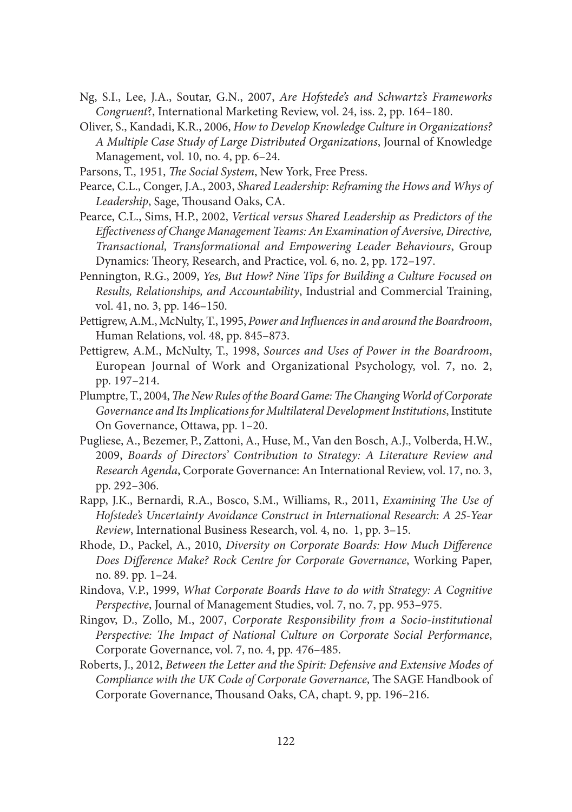- Ng, S.I., Lee, J.A., Soutar, G.N., 2007, *Are Hofstede's and Schwartz's Frameworks Congruent*?, International Marketing Review, vol. 24, iss. 2, pp. 164–180.
- Oliver, S., Kandadi, K.R., 2006, *How to Develop Knowledge Culture in Organizations? A Multiple Case Study of Large Distributed Organizations*, Journal of Knowledge Management, vol. 10, no. 4, pp. 6–24.
- Parsons, T., 1951, *The Social System*, New York, Free Press.
- Pearce, C.L., Conger, J.A., 2003, *Shared Leadership: Reframing the Hows and Whys of*  Leadership, Sage, Thousand Oaks, CA.
- Pearce, C.L., Sims, H.P., 2002, *Vertical versus Shared Leadership as Predictors of the Eff ectiveness of Change Management Teams: An Examination of Aversive, Directive, Transactional, Transformational and Empowering Leader Behaviours*, Group Dynamics: Theory, Research, and Practice, vol. 6, no. 2, pp. 172–197.
- Pennington, R.G., 2009, *Yes, But How? Nine Tips for Building a Culture Focused on Results, Relationships, and Accountability*, Industrial and Commercial Training, vol. 41, no. 3, pp. 146–150.
- Pettigrew, A.M., McNulty, T., 1995, Power and Influences in and around the Boardroom, Human Relations, vol. 48, pp. 845–873.
- Pettigrew, A.M., McNulty, T., 1998, *Sources and Uses of Power in the Boardroom*, European Journal of Work and Organizational Psychology, vol. 7, no. 2, pp. 197–214.
- Plumptre, T., 2004, *The New Rules of the Board Game: The Changing World of Corporate Governance and Its Implications for Multilateral Development Institutions*, Institute On Governance, Ottawa, pp. 1–20.
- Pugliese, A., Bezemer, P., Zattoni, A., Huse, M., Van den Bosch, A.J., Volberda, H.W., 2009, *Boards of Directors' Contribution to Strategy: A Literature Review and Research Agenda*, Corporate Governance: An International Review, vol. 17, no. 3, pp. 292–306.
- Rapp, J.K., Bernardi, R.A., Bosco, S.M., Williams, R., 2011, *Examining The Use of Hofstede's Uncertainty Avoidance Construct in International Research: A 25-Year Review*, International Business Research, vol. 4, no. 1, pp. 3–15.
- Rhode, D., Packel, A., 2010, *Diversity on Corporate Boards: How Much Difference Does Difference Make? Rock Centre for Corporate Governance*, Working Paper, no. 89. pp. 1–24.
- Rindova, V.P., 1999, *What Corporate Boards Have to do with Strategy: A Cognitive Perspective*, Journal of Management Studies, vol. 7, no. 7, pp. 953–975.
- Ringov, D., Zollo, M., 2007, *Corporate Responsibility from a Socio-institutional*  Perspective: The Impact of National Culture on Corporate Social Performance, Corporate Governance, vol. 7, no. 4, pp. 476–485.
- Roberts, J., 2012, *Between the Letter and the Spirit: Defensive and Extensive Modes of Compliance with the UK Code of Corporate Governance*, The SAGE Handbook of Corporate Governance, Thousand Oaks, CA, chapt. 9, pp. 196–216.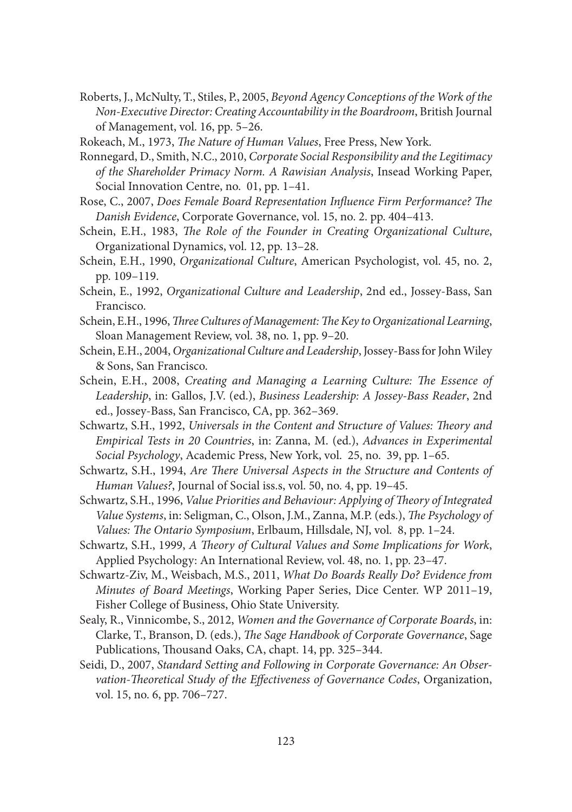Roberts, J., McNulty, T., Stiles, P., 2005, *Beyond Agency Conceptions of the Work of the Non-Executive Director: Creating Accountability in the Boardroom*, British Journal of Management, vol. 16, pp. 5–26.

Rokeach, M., 1973, *The Nature of Human Values*, Free Press, New York.

- Ronnegard, D., Smith, N.C., 2010, *Corporate Social Responsibility and the Legitimacy of the Shareholder Primacy Norm. A Rawisian Analysis*, Insead Working Paper, Social Innovation Centre, no. 01, pp. 1–41.
- Rose, C., 2007, *Does Female Board Representation Influence Firm Performance? The Danish Evidence*, Corporate Governance, vol. 15, no. 2. pp. 404–413.
- Schein, E.H., 1983, *The Role of the Founder in Creating Organizational Culture*, Organizational Dynamics, vol. 12, pp. 13–28.
- Schein, E.H., 1990, *Organizational Culture*, American Psychologist, vol. 45, no. 2, pp. 109–119.
- Schein, E., 1992, *Organizational Culture and Leadership*, 2nd ed., Jossey-Bass, San Francisco.
- Schein, E.H., 1996, *Three Cultures of Management: The Key to Organizational Learning*, Sloan Management Review, vol. 38, no. 1, pp. 9–20.
- Schein, E.H., 2004, *Organizational Culture and Leadership*, Jossey-Bass for John Wiley & Sons, San Francisco.
- Schein, E.H., 2008, *Creating and Managing a Learning Culture: The Essence of Leadership*, in: Gallos, J.V. (ed.), *Business Leadership: A Jossey-Bass Reader*, 2nd ed., Jossey-Bass, San Francisco, CA, pp. 362–369.
- Schwartz, S.H., 1992, *Universals in the Content and Structure of Values: Theory and Empirical Tests in 20 Countries*, in: Zanna, M. (ed.), *Advances in Experimental Social Psychology*, Academic Press, New York, vol. 25, no. 39, pp. 1–65.
- Schwartz, S.H., 1994, *Are There Universal Aspects in the Structure and Contents of Human Values?*, Journal of Social iss.s, vol. 50, no. 4, pp. 19–45.
- Schwartz, S.H., 1996, *Value Priorities and Behaviour: Applying of Theory of Integrated Value Systems*, in: Seligman, C., Olson, J.M., Zanna, M.P. (eds.), *The Psychology of Values: The Ontario Symposium, Erlbaum, Hillsdale, NJ, vol. 8, pp. 1-24.*
- Schwartz, S.H., 1999, *A Theory of Cultural Values and Some Implications for Work*, Applied Psychology: An International Review, vol. 48, no. 1, pp. 23–47.
- Schwartz-Ziv, M., Weisbach, M.S., 2011, *What Do Boards Really Do? Evidence from Minutes of Board Meetings*, Working Paper Series, Dice Center. WP 2011–19, Fisher College of Business, Ohio State University.
- Sealy, R., Vinnicombe, S., 2012, *Women and the Governance of Corporate Boards*, in: Clarke, T., Branson, D. (eds.), *The Sage Handbook of Corporate Governance*, Sage Publications, Thousand Oaks, CA, chapt. 14, pp. 325–344.
- Seidi, D., 2007, *Standard Setting and Following in Corporate Governance: An Observation-Theoretical Study of the Effectiveness of Governance Codes, Organization,* vol. 15, no. 6, pp. 706–727.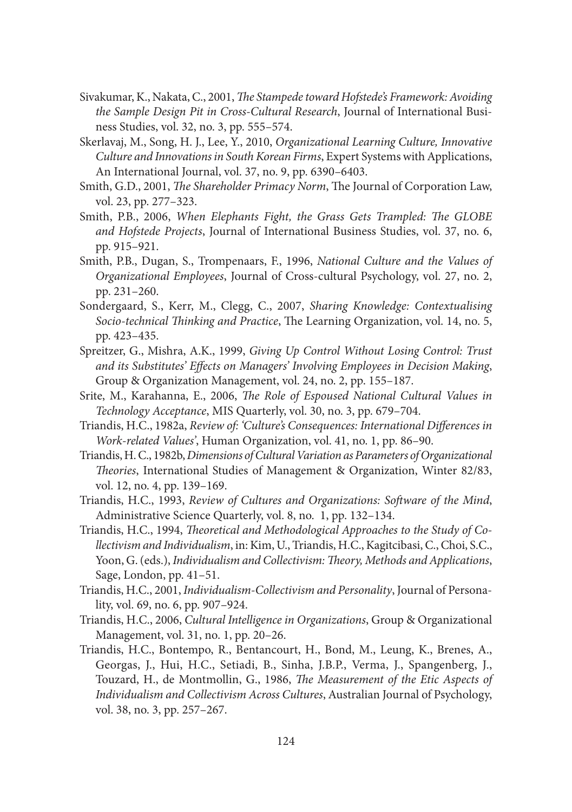- Sivakumar, K., Nakata, C., 2001, *The Stampede toward Hofstede's Framework: Avoiding the Sample Design Pit in Cross-Cultural Research*, Journal of International Business Studies, vol. 32, no. 3, pp. 555–574.
- Skerlavaj, M., Song, H. J., Lee, Y., 2010, *Organizational Learning Culture, Innovative Culture and Innovations in South Korean Firms*, Expert Systems with Applications, An International Journal, vol. 37, no. 9, pp. 6390–6403.
- Smith, G.D., 2001, *The Shareholder Primacy Norm*, The Journal of Corporation Law, vol. 23, pp. 277–323.
- Smith, P.B., 2006, *When Elephants Fight, the Grass Gets Trampled: The GLOBE and Hofstede Projects*, Journal of International Business Studies, vol. 37, no. 6, pp. 915–921.
- Smith, P.B., Dugan, S., Trompenaars, F., 1996, *National Culture and the Values of Organi zational Employees*, Journal of Cross-cultural Psychology, vol. 27, no. 2, pp. 231–260.
- Sondergaard, S., Kerr, M., Clegg, C., 2007, *Sharing Knowledge: Contextualising Socio-technical Thinking and Practice*, The Learning Organization, vol. 14, no. 5, pp. 423–435.
- Spreitzer, G., Mishra, A.K., 1999, *Giving Up Control Without Losing Control: Trust*  and its Substitutes' Effects on Managers' Involving Employees in Decision Making, Group & Organization Management, vol. 24, no. 2, pp. 155–187.
- Srite, M., Karahanna, E., 2006, *The Role of Espoused National Cultural Values in Technology Acceptance*, MIS Quarterly, vol. 30, no. 3, pp. 679–704.
- Triandis, H.C., 1982a, *Review of: 'Culture's Consequences: International Differences in Work-related Values'*, Human Organization, vol. 41, no. 1, pp. 86–90.
- Triandis, H. C., 1982b, *Dimensions of Cultural Variation as Parameters of Organizational Th eories*, International Studies of Management & Organization, Winter 82/83, vol. 12, no. 4, pp. 139–169.
- Triandis, H.C., 1993, *Review of Cultures and Organizations: Software of the Mind*, Administrative Science Quarterly, vol. 8, no. 1, pp. 132–134.
- Triandis, H.C., 1994, *Theoretical and Methodological Approaches to the Study of Collectivism and Individualism*, in: Kim, U., Triandis, H.C., Kagitcibasi, C., Choi, S.C., Yoon, G. (eds.), *Individualism and Collectivism: Theory*, *Methods and Applications*, Sage, London, pp. 41–51.
- Triandis, H.C., 2001, *Individualism-Collectivism and Personality*, Journal of Personality, vol. 69, no. 6, pp. 907–924.
- Triandis, H.C., 2006, *Cultural Intelligence in Organizations*, Group & Organizational Management, vol. 31, no. 1, pp. 20–26.
- Triandis, H.C., Bontempo, R., Bentancourt, H., Bond, M., Leung, K., Brenes, A., Georgas, J., Hui, H.C., Setiadi, B., Sinha, J.B.P., Verma, J., Spangenberg, J., Touzard, H., de Montmollin, G., 1986, *The Measurement of the Etic Aspects of Individualism and Collectivism Across Cultures*, Australian Journal of Psychology, vol. 38, no. 3, pp. 257–267.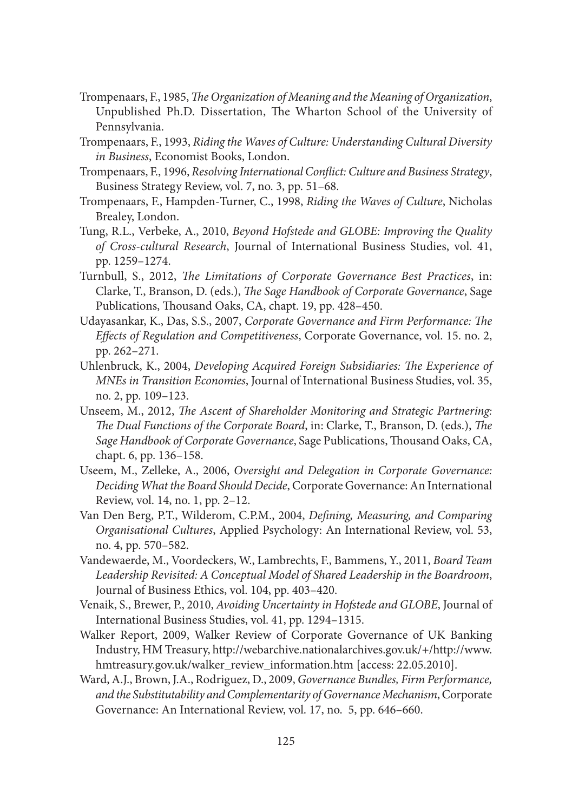- Trompenaars, F., 1985, *The Organization of Meaning and the Meaning of Organization*, Unpublished Ph.D. Dissertation, The Wharton School of the University of Pennsylvania.
- Trompenaars, F., 1993, *Riding the Waves of Culture: Understanding Cultural Diversity in Business*, Economist Books, London.
- Trompenaars, F., 1996, *Resolving International Confl ict: Culture and Business Strategy*, Business Strategy Review, vol. 7, no. 3, pp. 51–68.
- Trompenaars, F., Hampden-Turner, C., 1998, *Riding the Waves of Culture*, Nicholas Brealey, London.
- Tung, R.L., Verbeke, A., 2010, *Beyond Hofstede and GLOBE: Improving the Quality of Cross-cultural Research*, Journal of International Business Studies, vol. 41, pp. 1259–1274.
- Turnbull, S., 2012, *The Limitations of Corporate Governance Best Practices*, in: Clarke, T., Branson, D. (eds.), *The Sage Handbook of Corporate Governance*, Sage Publications, Thousand Oaks, CA, chapt. 19, pp. 428-450.
- Udayasankar, K., Das, S.S., 2007, *Corporate Governance and Firm Performance: The Eff ects of Regulation and Competitiveness*, Corporate Governance, vol. 15. no. 2, pp. 262–271.
- Uhlenbruck, K., 2004, *Developing Acquired Foreign Subsidiaries: The Experience of MNEs in Transition Economies*, Journal of International Business Studies, vol. 35, no. 2, pp. 109–123.
- Unseem, M., 2012, *The Ascent of Shareholder Monitoring and Strategic Partnering: The Dual Functions of the Corporate Board*, in: Clarke, T., Branson, D. (eds.), *The* Sage Handbook of Corporate Governance, Sage Publications, Thousand Oaks, CA, chapt. 6, pp. 136–158.
- Useem, M., Zelleke, A., 2006, *Oversight and Delegation in Corporate Governance: Deciding What the Board Should Decide*, Corporate Governance: An International Review, vol. 14, no. 1, pp. 2–12.
- Van Den Berg, P.T., Wilderom, C.P.M., 2004, *Defining, Measuring, and Comparing Organisational Cultures*, Applied Psychology: An International Review, vol. 53, no. 4, pp. 570–582.
- Vandewaerde, M., Voordeckers, W., Lambrechts, F., Bammens, Y., 2011, *Board Team Leadership Revisited: A Conceptual Model of Shared Leadership in the Boardroom*, Journal of Business Ethics, vol. 104, pp. 403–420.
- Venaik, S., Brewer, P., 2010, *Avoiding Uncertainty in Hofstede and GLOBE*, Journal of International Business Studies, vol. 41, pp. 1294–1315.
- Walker Report, 2009, Walker Review of Corporate Governance of UK Banking Industry, HM Treasury, http://webarchive.nationalarchives.gov.uk/+/http://www. hmtreasury.gov.uk/walker\_review\_information.htm [access: 22.05.2010].
- Ward, A.J., Brown, J.A., Rodriguez, D., 2009, *Governance Bundles, Firm Performance, and the Substitutability and Complementarity of Governance Mechanism*, Corporate Governance: An International Review, vol. 17, no. 5, pp. 646–660.